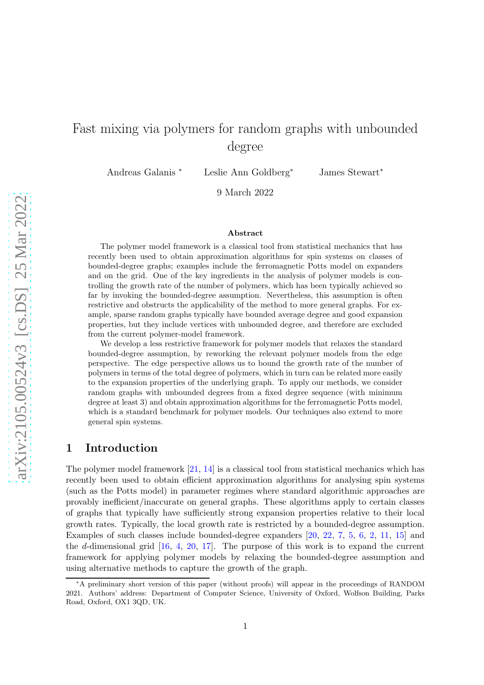# Fast mixing via polymers for random graphs with unbounded degree

Andreas Galanis <sup>∗</sup> Leslie Ann Goldberg<sup>∗</sup> James Stewart<sup>∗</sup>

9 March 2022

#### Abstract

The polymer model framework is a classical tool from statistical mechanics that has recently been used to obtain approximation algorithms for spin systems on classes of bounded-degree graphs; examples include the ferromagnetic Potts model on expanders and on the grid. One of the key ingredients in the analysis of polymer models is controlling the growth rate of the number of polymers, which has been typically achieved so far by invoking the bounded-degree assumption. Nevertheless, this assumption is often restrictive and obstructs the applicability of the method to more general graphs. For example, sparse random graphs typically have bounded average degree and good expansion properties, but they include vertices with unbounded degree, and therefore are excluded from the current polymer-model framework.

We develop a less restrictive framework for polymer models that relaxes the standard bounded-degree assumption, by reworking the relevant polymer models from the edge perspective. The edge perspective allows us to bound the growth rate of the number of polymers in terms of the total degree of polymers, which in turn can be related more easily to the expansion properties of the underlying graph. To apply our methods, we consider random graphs with unbounded degrees from a fixed degree sequence (with minimum degree at least 3) and obtain approximation algorithms for the ferromagnetic Potts model, which is a standard benchmark for polymer models. Our techniques also extend to more general spin systems.

### 1 Introduction

The polymer model framework [\[21,](#page-22-0) [14\]](#page-21-0) is a classical tool from statistical mechanics which has recently been used to obtain efficient approximation algorithms for analysing spin systems (such as the Potts model) in parameter regimes where standard algorithmic approaches are provably inefficient/inaccurate on general graphs. These algorithms apply to certain classes of graphs that typically have sufficiently strong expansion properties relative to their local growth rates. Typically, the local growth rate is restricted by a bounded-degree assumption. Examples of such classes include bounded-degree expanders [\[20,](#page-22-1) [22,](#page-22-2) [7,](#page-21-1) [5,](#page-21-2) [6,](#page-21-3) [2,](#page-21-4) [11,](#page-21-5) [15\]](#page-22-3) and the d-dimensional grid  $[16, 4, 20, 17]$  $[16, 4, 20, 17]$  $[16, 4, 20, 17]$  $[16, 4, 20, 17]$  $[16, 4, 20, 17]$  $[16, 4, 20, 17]$ . The purpose of this work is to expand the current framework for applying polymer models by relaxing the bounded-degree assumption and using alternative methods to capture the growth of the graph.

<sup>∗</sup>A preliminary short version of this paper (without proofs) will appear in the proceedings of RANDOM 2021. Authors' address: Department of Computer Science, University of Oxford, Wolfson Building, Parks Road, Oxford, OX1 3QD, UK.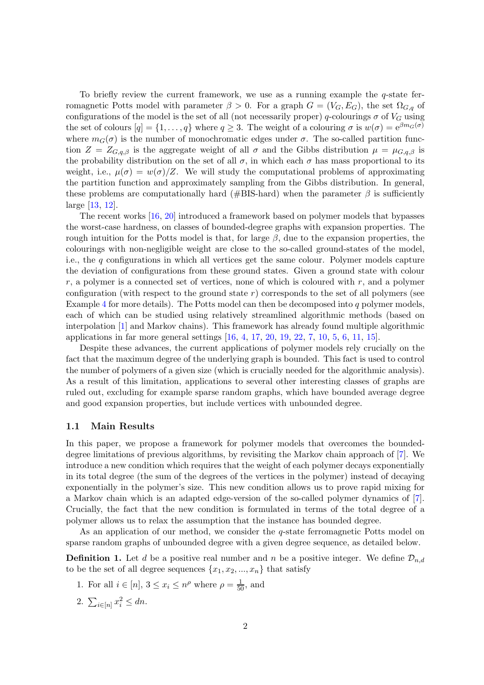To briefly review the current framework, we use as a running example the  $q$ -state ferromagnetic Potts model with parameter  $\beta > 0$ . For a graph  $G = (V_G, E_G)$ , the set  $\Omega_{G,g}$  of configurations of the model is the set of all (not necessarily proper) q-colourings  $\sigma$  of  $V_G$  using the set of colours  $[q] = \{1, \ldots, q\}$  where  $q \geq 3$ . The weight of a colouring  $\sigma$  is  $w(\sigma) = e^{\beta m_G(\sigma)}$ where  $m_G(\sigma)$  is the number of monochromatic edges under  $\sigma$ . The so-called partition function  $Z = Z_{G,q,\beta}$  is the aggregate weight of all  $\sigma$  and the Gibbs distribution  $\mu = \mu_{G,q,\beta}$  is the probability distribution on the set of all  $\sigma$ , in which each  $\sigma$  has mass proportional to its weight, i.e.,  $\mu(\sigma) = w(\sigma)/Z$ . We will study the computational problems of approximating the partition function and approximately sampling from the Gibbs distribution. In general, these problems are computationally hard (#BIS-hard) when the parameter  $\beta$  is sufficiently large [\[13,](#page-21-7) [12\]](#page-21-8).

The recent works [\[16,](#page-22-4) [20\]](#page-22-1) introduced a framework based on polymer models that bypasses the worst-case hardness, on classes of bounded-degree graphs with expansion properties. The rough intuition for the Potts model is that, for large  $\beta$ , due to the expansion properties, the colourings with non-negligible weight are close to the so-called ground-states of the model, i.e., the  $q$  configurations in which all vertices get the same colour. Polymer models capture the deviation of configurations from these ground states. Given a ground state with colour  $r$ , a polymer is a connected set of vertices, none of which is coloured with  $r$ , and a polymer configuration (with respect to the ground state  $r$ ) corresponds to the set of all polymers (see Example [4](#page-3-0) for more details). The Potts model can then be decomposed into q polymer models, each of which can be studied using relatively streamlined algorithmic methods (based on interpolation [\[1\]](#page-21-9) and Markov chains). This framework has already found multiple algorithmic applications in far more general settings [\[16,](#page-22-4) [4,](#page-21-6) [17,](#page-22-5) [20,](#page-22-1) [19,](#page-22-6) [22,](#page-22-2) [7,](#page-21-1) [10,](#page-21-10) [5,](#page-21-2) [6,](#page-21-3) [11,](#page-21-5) [15\]](#page-22-3).

Despite these advances, the current applications of polymer models rely crucially on the fact that the maximum degree of the underlying graph is bounded. This fact is used to control the number of polymers of a given size (which is crucially needed for the algorithmic analysis). As a result of this limitation, applications to several other interesting classes of graphs are ruled out, excluding for example sparse random graphs, which have bounded average degree and good expansion properties, but include vertices with unbounded degree.

### 1.1 Main Results

In this paper, we propose a framework for polymer models that overcomes the boundeddegree limitations of previous algorithms, by revisiting the Markov chain approach of [\[7\]](#page-21-1). We introduce a new condition which requires that the weight of each polymer decays exponentially in its total degree (the sum of the degrees of the vertices in the polymer) instead of decaying exponentially in the polymer's size. This new condition allows us to prove rapid mixing for a Markov chain which is an adapted edge-version of the so-called polymer dynamics of [\[7\]](#page-21-1). Crucially, the fact that the new condition is formulated in terms of the total degree of a polymer allows us to relax the assumption that the instance has bounded degree.

As an application of our method, we consider the q-state ferromagnetic Potts model on sparse random graphs of unbounded degree with a given degree sequence, as detailed below.

<span id="page-1-2"></span><span id="page-1-1"></span>**Definition 1.** Let d be a positive real number and n be a positive integer. We define  $\mathcal{D}_{n,d}$ to be the set of all degree sequences  $\{x_1, x_2, ..., x_n\}$  that satisfy

- <span id="page-1-0"></span>1. For all  $i \in [n]$ ,  $3 \le x_i \le n^{\rho}$  where  $\rho = \frac{1}{50}$ , and
- 2.  $\sum_{i \in [n]} x_i^2 \leq dn$ .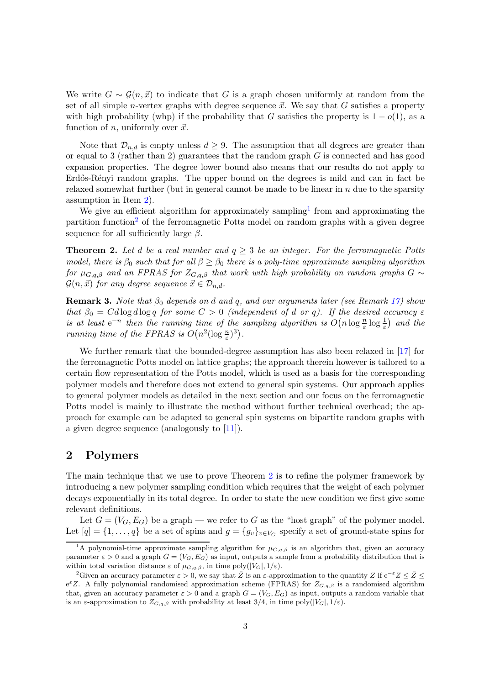We write  $G \sim \mathcal{G}(n, \vec{x})$  to indicate that G is a graph chosen uniformly at random from the set of all simple *n*-vertex graphs with degree sequence  $\vec{x}$ . We say that G satisfies a property with high probability (whp) if the probability that G satisfies the property is  $1-o(1)$ , as a function of n, uniformly over  $\vec{x}$ .

Note that  $\mathcal{D}_{n,d}$  is empty unless  $d \geq 9$ . The assumption that all degrees are greater than or equal to 3 (rather than 2) guarantees that the random graph  $G$  is connected and has good expansion properties. The degree lower bound also means that our results do not apply to Erdős-Rényi random graphs. The upper bound on the degrees is mild and can in fact be relaxed somewhat further (but in general cannot be made to be linear in  $n$  due to the sparsity assumption in Item [2\)](#page-1-0).

We give an efficient algorithm for approximately sampling<sup>[1](#page-2-0)</sup> from and approximating the partition function<sup>[2](#page-2-1)</sup> of the ferromagnetic Potts model on random graphs with a given degree sequence for all sufficiently large  $\beta$ .

<span id="page-2-2"></span>**Theorem 2.** Let d be a real number and  $q \geq 3$  be an integer. For the ferromagnetic Potts model, there is  $\beta_0$  such that for all  $\beta \geq \beta_0$  there is a poly-time approximate sampling algorithm for  $\mu_{G,q,\beta}$  and an FPRAS for  $Z_{G,q,\beta}$  that work with high probability on random graphs  $G \sim$  $\mathcal{G}(n, \vec{x})$  for any degree sequence  $\vec{x} \in \mathcal{D}_{n,d}$ .

<span id="page-2-3"></span>**Remark 3.** Note that  $\beta_0$  depends on d and q, and our arguments later (see Remark [17\)](#page-13-0) show that  $\beta_0 = C d \log d \log q$  for some  $C > 0$  (independent of d or q). If the desired accuracy  $\varepsilon$ is at least  $e^{-n}$  then the running time of the sampling algorithm is  $O(n \log \frac{n}{\varepsilon} \log \frac{1}{\varepsilon})$  and the running time of the FPRAS is  $O(n^2(\log_{\frac{n}{\varepsilon}})^3)$ .

We further remark that the bounded-degree assumption has also been relaxed in [\[17\]](#page-22-5) for the ferromagnetic Potts model on lattice graphs; the approach therein however is tailored to a certain flow representation of the Potts model, which is used as a basis for the corresponding polymer models and therefore does not extend to general spin systems. Our approach applies to general polymer models as detailed in the next section and our focus on the ferromagnetic Potts model is mainly to illustrate the method without further technical overhead; the approach for example can be adapted to general spin systems on bipartite random graphs with a given degree sequence (analogously to [\[11\]](#page-21-5)).

### 2 Polymers

The main technique that we use to prove Theorem [2](#page-2-2) is to refine the polymer framework by introducing a new polymer sampling condition which requires that the weight of each polymer decays exponentially in its total degree. In order to state the new condition we first give some relevant definitions.

Let  $G = (V_G, E_G)$  be a graph — we refer to G as the "host graph" of the polymer model. Let  $[q] = \{1, \ldots, q\}$  be a set of spins and  $g = \{g_v\}_{v \in V_G}$  specify a set of ground-state spins for

<span id="page-2-0"></span><sup>&</sup>lt;sup>1</sup>A polynomial-time approximate sampling algorithm for  $\mu_{G,q,\beta}$  is an algorithm that, given an accuracy parameter  $\varepsilon > 0$  and a graph  $G = (V_G, E_G)$  as input, outputs a sample from a probability distribution that is within total variation distance  $\varepsilon$  of  $\mu_{G,q,\beta}$ , in time poly $(|V_G|, 1/\varepsilon)$ .

<span id="page-2-1"></span><sup>&</sup>lt;sup>2</sup>Given an accuracy parameter  $\varepsilon > 0$ , we say that  $\hat{Z}$  is an  $\varepsilon$ -approximation to the quantity Z if  $e^{-\varepsilon}Z \leq \hat{Z} \leq$  $e^{\epsilon}Z$ . A fully polynomial randomised approximation scheme (FPRAS) for  $Z_{G,q,\beta}$  is a randomised algorithm that, given an accuracy parameter  $\varepsilon > 0$  and a graph  $G = (V_G, E_G)$  as input, outputs a random variable that is an  $\varepsilon$ -approximation to  $Z_{G,q,\beta}$  with probability at least 3/4, in time poly( $|V_G|, 1/\varepsilon$ ).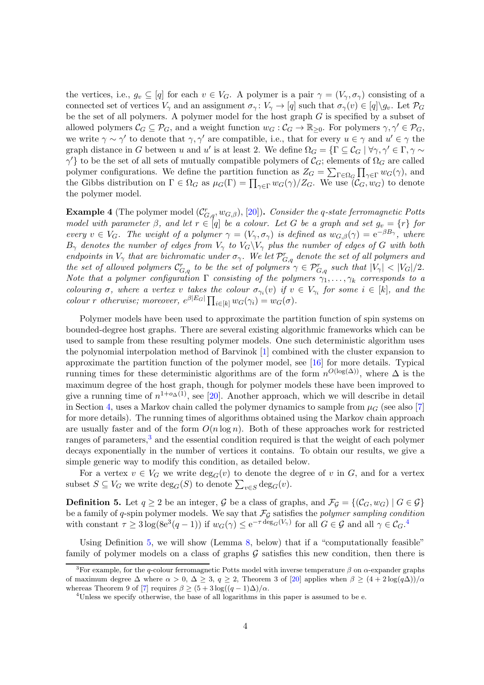the vertices, i.e.,  $g_v \subseteq [q]$  for each  $v \in V_G$ . A polymer is a pair  $\gamma = (V_\gamma, \sigma_\gamma)$  consisting of a connected set of vertices  $V_{\gamma}$  and an assignment  $\sigma_{\gamma}: V_{\gamma} \to [q]$  such that  $\sigma_{\gamma}(v) \in [q] \setminus g_{v}$ . Let  $\mathcal{P}_{G}$ be the set of all polymers. A polymer model for the host graph  $G$  is specified by a subset of allowed polymers  $\mathcal{C}_G \subseteq \mathcal{P}_G$ , and a weight function  $w_G : \mathcal{C}_G \to \mathbb{R}_{\geq 0}$ . For polymers  $\gamma, \gamma' \in \mathcal{P}_G$ , we write  $\gamma \sim \gamma'$  to denote that  $\gamma, \gamma'$  are compatible, i.e., that for every  $u \in \gamma$  and  $u' \in \gamma$  the graph distance in G between u and u' is at least 2. We define  $\Omega_G = \{ \Gamma \subseteq C_G \mid \forall \gamma, \gamma \in \Gamma, \gamma \sim \Gamma \}$  $\gamma'$ } to be the set of all sets of mutually compatible polymers of  $\mathcal{C}_G$ ; elements of  $\Omega_G$  are called polymer configurations. We define the partition function as  $Z_G = \sum_{\Gamma \in \Omega_G} \prod_{\gamma \in \Gamma} w_G(\gamma)$ , and the Gibbs distribution on  $\Gamma \in \Omega_G$  as  $\mu_G(\Gamma) = \prod_{\gamma \in \Gamma} w_G(\gamma)/Z_G$ . We use  $(\mathcal{C}_G, w_G)$  to denote the polymer model.

<span id="page-3-0"></span>**Example 4** (The polymer model  $(\mathcal{C}_{G,q}^r, w_{G,\beta})$ , [\[20\]](#page-22-1)). Consider the q-state ferromagnetic Potts model with parameter  $\beta$ , and let  $r \in [q]$  be a colour. Let G be a graph and set  $g_v = \{r\}$  for every  $v \in V_G$ . The weight of a polymer  $\gamma = (V_\gamma, \sigma_\gamma)$  is defined as  $w_{G,\beta}(\gamma) = e^{-\beta B_\gamma}$ , where  $B_{\gamma}$  denotes the number of edges from  $V_{\gamma}$  to  $V_{G}\backslash V_{\gamma}$  plus the number of edges of G with both endpoints in  $V_{\gamma}$  that are bichromatic under  $\sigma_{\gamma}$ . We let  $\mathcal{P}_{G,q}^{r}$  denote the set of all polymers and the set of allowed polymers  $\mathcal{C}_{G,q}^r$  to be the set of polymers  $\gamma \in \mathcal{P}_{G,q}^r$  such that  $|V_{\gamma}| < |V_G|/2$ . Note that a polymer configuration  $\Gamma$  consisting of the polymers  $\gamma_1, \ldots, \gamma_k$  corresponds to a colouring  $\sigma$ , where a vertex v takes the colour  $\sigma_{\gamma_i}(v)$  if  $v \in V_{\gamma_i}$  for some  $i \in [k]$ , and the colour r otherwise; moreover,  $e^{\beta |E_G|} \prod_{i \in [k]} w_G(\gamma_i) = w_G(\sigma)$ .

Polymer models have been used to approximate the partition function of spin systems on bounded-degree host graphs. There are several existing algorithmic frameworks which can be used to sample from these resulting polymer models. One such deterministic algorithm uses the polynomial interpolation method of Barvinok [\[1\]](#page-21-9) combined with the cluster expansion to approximate the partition function of the polymer model, see [\[16\]](#page-22-4) for more details. Typical running times for these deterministic algorithms are of the form  $n^{O(\log(\Delta))}$ , where  $\Delta$  is the maximum degree of the host graph, though for polymer models these have been improved to give a running time of  $n^{1+o_{\Delta}(1)}$ , see [\[20\]](#page-22-1). Another approach, which we will describe in detail in Section [4,](#page-13-1) uses a Markov chain called the polymer dynamics to sample from  $\mu$ <sub>G</sub> (see also [\[7\]](#page-21-1) for more details). The running times of algorithms obtained using the Markov chain approach are usually faster and of the form  $O(n \log n)$ . Both of these approaches work for restricted ranges of parameters, $3$  and the essential condition required is that the weight of each polymer decays exponentially in the number of vertices it contains. To obtain our results, we give a simple generic way to modify this condition, as detailed below.

For a vertex  $v \in V_G$  we write  $deg_G(v)$  to denote the degree of v in G, and for a vertex subset  $S \subseteq V_G$  we write  $\deg_G(S)$  to denote  $\sum_{v \in S} \deg_G(v)$ .

<span id="page-3-3"></span>**Definition 5.** Let  $q \ge 2$  be an integer, G be a class of graphs, and  $\mathcal{F}_\mathcal{G} = \{(\mathcal{C}_G, w_G) | G \in \mathcal{G}\}\$ be a family of q-spin polymer models. We say that  $\mathcal{F}_{\mathcal{G}}$  satisfies the polymer sampling condition with constant  $\tau \geq 3 \log(8e^3(q-1))$  if  $w_G(\gamma) \leq e^{-\tau \deg_G(V_\gamma)}$  for all  $G \in \mathcal{G}$  and all  $\gamma \in C_G$ .<sup>[4](#page-3-2)</sup>

Using Definition [5,](#page-3-3) we will show (Lemma [8,](#page-5-0) below) that if a "computationally feasible" family of polymer models on a class of graphs  $\mathcal G$  satisfies this new condition, then there is

<span id="page-3-1"></span><sup>&</sup>lt;sup>3</sup>For example, for the q-colour ferromagnetic Potts model with inverse temperature  $\beta$  on  $\alpha$ -expander graphs of maximum degree  $\Delta$  where  $\alpha > 0$ ,  $\Delta \geq 3$ ,  $q \geq 2$ , Theorem 3 of [\[20\]](#page-22-1) applies when  $\beta \geq (4 + 2 \log(q\Delta))/\alpha$ whereas Theorem 9 of [\[7\]](#page-21-1) requires  $\beta \geq (5 + 3 \log((q - 1)\Delta)/\alpha$ .

<span id="page-3-2"></span><sup>4</sup>Unless we specify otherwise, the base of all logarithms in this paper is assumed to be e.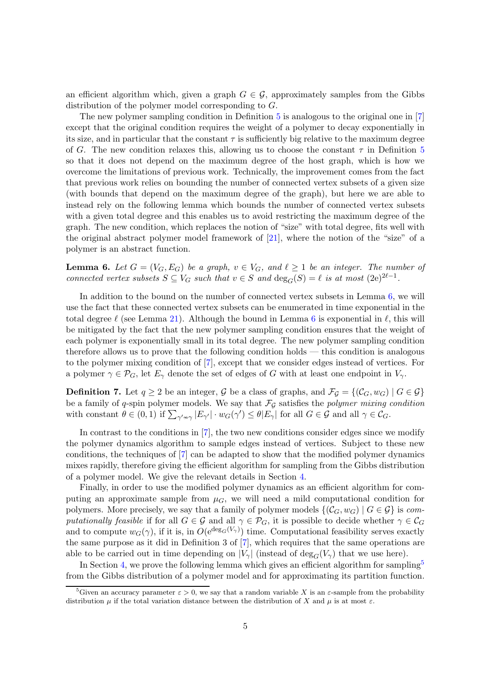an efficient algorithm which, given a graph  $G \in \mathcal{G}$ , approximately samples from the Gibbs distribution of the polymer model corresponding to G.

The new polymer sampling condition in Definition [5](#page-3-3) is analogous to the original one in [\[7\]](#page-21-1) except that the original condition requires the weight of a polymer to decay exponentially in its size, and in particular that the constant  $\tau$  is sufficiently big relative to the maximum degree of G. The new condition relaxes this, allowing us to choose the constant  $\tau$  in Definition [5](#page-3-3) so that it does not depend on the maximum degree of the host graph, which is how we overcome the limitations of previous work. Technically, the improvement comes from the fact that previous work relies on bounding the number of connected vertex subsets of a given size (with bounds that depend on the maximum degree of the graph), but here we are able to instead rely on the following lemma which bounds the number of connected vertex subsets with a given total degree and this enables us to avoid restricting the maximum degree of the graph. The new condition, which replaces the notion of "size" with total degree, fits well with the original abstract polymer model framework of [\[21\]](#page-22-0), where the notion of the "size" of a polymer is an abstract function.

<span id="page-4-0"></span>**Lemma 6.** Let  $G = (V_G, E_G)$  be a graph,  $v \in V_G$ , and  $\ell \geq 1$  be an integer. The number of connected vertex subsets  $S \subseteq V_G$  such that  $v \in S$  and  $\deg_G(S) = \ell$  is at most  $(2e)^{2\ell-1}$ .

In addition to the bound on the number of connected vertex subsets in Lemma [6,](#page-4-0) we will use the fact that these connected vertex subsets can be enumerated in time exponential in the total degree  $\ell$  (see Lemma [21\)](#page-17-0). Although the bound in Lemma [6](#page-4-0) is exponential in  $\ell$ , this will be mitigated by the fact that the new polymer sampling condition ensures that the weight of each polymer is exponentially small in its total degree. The new polymer sampling condition therefore allows us to prove that the following condition holds — this condition is analogous to the polymer mixing condition of [\[7\]](#page-21-1), except that we consider edges instead of vertices. For a polymer  $\gamma \in \mathcal{P}_G$ , let  $E_\gamma$  denote the set of edges of G with at least one endpoint in  $V_\gamma$ .

<span id="page-4-2"></span>**Definition 7.** Let  $q \ge 2$  be an integer, G be a class of graphs, and  $\mathcal{F}_{\mathcal{G}} = \{(\mathcal{C}_G, w_G) | G \in \mathcal{G}\}\$ be a family of q-spin polymer models. We say that  $\mathcal{F}_{\mathcal{G}}$  satisfies the polymer mixing condition with constant  $\theta \in (0,1)$  if  $\sum_{\gamma' \sim \gamma} |E_{\gamma'}| \cdot w_G(\gamma') \leq \theta |E_{\gamma}|$  for all  $G \in \mathcal{G}$  and all  $\gamma \in \mathcal{C}_G$ .

In contrast to the conditions in [\[7\]](#page-21-1), the two new conditions consider edges since we modify the polymer dynamics algorithm to sample edges instead of vertices. Subject to these new conditions, the techniques of [\[7\]](#page-21-1) can be adapted to show that the modified polymer dynamics mixes rapidly, therefore giving the efficient algorithm for sampling from the Gibbs distribution of a polymer model. We give the relevant details in Section [4.](#page-13-1)

Finally, in order to use the modified polymer dynamics as an efficient algorithm for computing an approximate sample from  $\mu_G$ , we will need a mild computational condition for polymers. More precisely, we say that a family of polymer models  $\{(\mathcal{C}_G, w_G) | G \in \mathcal{G}\}\$ is computationally feasible if for all  $G \in \mathcal{G}$  and all  $\gamma \in \mathcal{P}_G$ , it is possible to decide whether  $\gamma \in \mathcal{C}_G$ and to compute  $w_G(\gamma)$ , if it is, in  $O(e^{\deg_G(V_\gamma)})$  time. Computational feasibility serves exactly the same purpose as it did in Definition 3 of [\[7\]](#page-21-1), which requires that the same operations are able to be carried out in time depending on  $|V_{\gamma}|$  (instead of  $\deg_G(V_{\gamma})$ ) that we use here).

In Section [4,](#page-13-1) we prove the following lemma which gives an efficient algorithm for sampling<sup>[5](#page-4-1)</sup> from the Gibbs distribution of a polymer model and for approximating its partition function.

<span id="page-4-1"></span><sup>&</sup>lt;sup>5</sup>Given an accuracy parameter  $\varepsilon > 0$ , we say that a random variable X is an  $\varepsilon$ -sample from the probability distribution  $\mu$  if the total variation distance between the distribution of X and  $\mu$  is at most  $\varepsilon$ .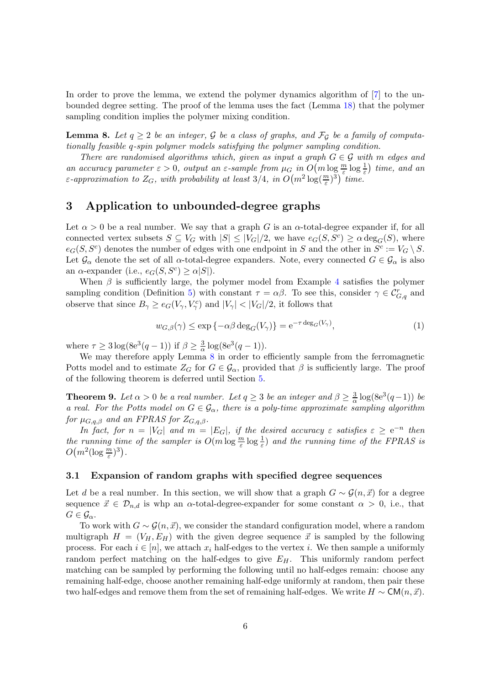In order to prove the lemma, we extend the polymer dynamics algorithm of [\[7\]](#page-21-1) to the unbounded degree setting. The proof of the lemma uses the fact (Lemma [18\)](#page-14-0) that the polymer sampling condition implies the polymer mixing condition.

<span id="page-5-0"></span>**Lemma 8.** Let  $q \ge 2$  be an integer, G be a class of graphs, and  $\mathcal{F}_{\mathcal{G}}$  be a family of computationally feasible q-spin polymer models satisfying the polymer sampling condition.

There are randomised algorithms which, given as input a graph  $G \in \mathcal{G}$  with m edges and an accuracy parameter  $\varepsilon > 0$ , output an  $\varepsilon$ -sample from  $\mu_G$  in  $O(m \log \frac{m}{\varepsilon} \log \frac{1}{\varepsilon})$  time, and an ε-approximation to  $Z_G$ , with probability at least 3/4, in  $O(m^2 \log(\frac{m}{\varepsilon})^3)$  time.

# 3 Application to unbounded-degree graphs

Let  $\alpha > 0$  be a real number. We say that a graph G is an  $\alpha$ -total-degree expander if, for all connected vertex subsets  $S \subseteq V_G$  with  $|S| \leq |V_G|/2$ , we have  $e_G(S, S^c) \geq \alpha \deg_G(S)$ , where  $e_G(S, S^c)$  denotes the number of edges with one endpoint in S and the other in  $S^c := V_G \setminus S$ . Let  $\mathcal{G}_{\alpha}$  denote the set of all  $\alpha$ -total-degree expanders. Note, every connected  $G \in \mathcal{G}_{\alpha}$  is also an  $\alpha$ -expander (i.e.,  $e_G(S, S^c) \geq \alpha|S|$ ).

When  $\beta$  is sufficiently large, the polymer model from Example [4](#page-3-0) satisfies the polymer sampling condition (Definition [5\)](#page-3-3) with constant  $\tau = \alpha \beta$ . To see this, consider  $\gamma \in C_{G,q}^r$  and observe that since  $B_{\gamma} \ge e_G(V_{\gamma}, V_{\gamma}^c)$  and  $|V_{\gamma}| < |V_G|/2$ , it follows that

<span id="page-5-2"></span>
$$
w_{G,\beta}(\gamma) \le \exp\left\{-\alpha\beta \deg_G(V_\gamma)\right\} = e^{-\tau \deg_G(V_\gamma)},\tag{1}
$$

where  $\tau \geq 3 \log(8e^3(q-1))$  if  $\beta \geq \frac{3}{\alpha}$  $\frac{3}{\alpha} \log(8e^3(q-1)).$ 

We may therefore apply Lemma [8](#page-5-0) in order to efficiently sample from the ferromagnetic Potts model and to estimate  $Z_G$  for  $G \in \mathcal{G}_{\alpha}$ , provided that  $\beta$  is sufficiently large. The proof of the following theorem is deferred until Section [5.](#page-19-0)

<span id="page-5-1"></span>**Theorem 9.** Let  $\alpha > 0$  be a real number. Let  $q \geq 3$  be an integer and  $\beta \geq \frac{3}{\alpha}$  $\frac{3}{\alpha} \log(8e^3(q-1))$  be a real. For the Potts model on  $G \in \mathcal{G}_{\alpha}$ , there is a poly-time approximate sampling algorithm for  $\mu_{G,q,\beta}$  and an FPRAS for  $Z_{G,q,\beta}$ .

In fact, for  $n = |V_G|$  and  $m = |E_G|$ , if the desired accuracy  $\varepsilon$  satisfies  $\varepsilon \ge e^{-n}$  then the running time of the sampler is  $O(m \log \frac{m}{\varepsilon} \log \frac{1}{\varepsilon})$  and the running time of the FPRAS is  $O(m^2(\log \frac{m}{\varepsilon})^3).$ 

### 3.1 Expansion of random graphs with specified degree sequences

Let d be a real number. In this section, we will show that a graph  $G \sim \mathcal{G}(n, \vec{x})$  for a degree sequence  $\vec{x} \in \mathcal{D}_{n,d}$  is whp an  $\alpha$ -total-degree-expander for some constant  $\alpha > 0$ , i.e., that  $G \in \mathcal{G}_{\alpha}$ .

To work with  $G \sim \mathcal{G}(n, \vec{x})$ , we consider the standard configuration model, where a random multigraph  $H = (V_H, E_H)$  with the given degree sequence  $\vec{x}$  is sampled by the following process. For each  $i \in [n]$ , we attach  $x_i$  half-edges to the vertex i. We then sample a uniformly random perfect matching on the half-edges to give  $E_H$ . This uniformly random perfect matching can be sampled by performing the following until no half-edges remain: choose any remaining half-edge, choose another remaining half-edge uniformly at random, then pair these two half-edges and remove them from the set of remaining half-edges. We write  $H \sim \mathsf{CM}(n, \vec{x})$ .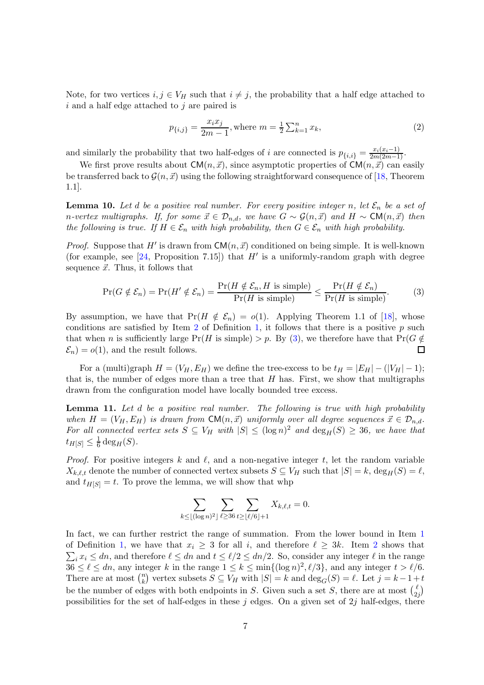Note, for two vertices  $i, j \in V_H$  such that  $i \neq j$ , the probability that a half edge attached to  $i$  and a half edge attached to  $j$  are paired is

$$
p_{\{i,j\}} = \frac{x_i x_j}{2m-1}, \text{where } m = \frac{1}{2} \sum_{k=1}^n x_k,
$$
 (2)

and similarly the probability that two half-edges of i are connected is  $p_{\{i,i\}} = \frac{x_i(x_i-1)}{2m(2m-1)}$ .

We first prove results about  $CM(n, \vec{x})$ , since asymptotic properties of  $CM(n, \vec{x})$  can easily be transferred back to  $\mathcal{G}(n, \vec{x})$  using the following straightforward consequence of [\[18,](#page-22-7) Theorem 1.1].

<span id="page-6-2"></span>**Lemma 10.** Let d be a positive real number. For every positive integer n, let  $\mathcal{E}_n$  be a set of n-vertex multigraphs. If, for some  $\vec{x} \in \mathcal{D}_{n,d}$ , we have  $G \sim \mathcal{G}(n, \vec{x})$  and  $H \sim \mathsf{CM}(n, \vec{x})$  then the following is true. If  $H \in \mathcal{E}_n$  with high probability, then  $G \in \mathcal{E}_n$  with high probability.

*Proof.* Suppose that H' is drawn from  $CM(n, \vec{x})$  conditioned on being simple. It is well-known (for example, see  $[24,$  Proposition 7.15]) that  $H'$  is a uniformly-random graph with degree sequence  $\vec{x}$ . Thus, it follows that

<span id="page-6-0"></span>
$$
\Pr(G \notin \mathcal{E}_n) = \Pr(H' \notin \mathcal{E}_n) = \frac{\Pr(H \notin \mathcal{E}_n, H \text{ is simple})}{\Pr(H \text{ is simple})} \le \frac{\Pr(H \notin \mathcal{E}_n)}{\Pr(H \text{ is simple})}.\tag{3}
$$

By assumption, we have that  $Pr(H \notin \mathcal{E}_n) = o(1)$ . Applying Theorem 1.1 of [\[18\]](#page-22-7), whose conditions are satisfied by Item [2](#page-1-0) of Definition [1,](#page-1-1) it follows that there is a positive  $p$  such that when *n* is sufficiently large Pr(*H* is simple) > *p*. By [\(3\)](#page-6-0), we therefore have that Pr( $G \notin \mathcal{E}_n$ ) =  $o(1)$ , and the result follows.  $\mathcal{E}_n$  =  $o(1)$ , and the result follows.

For a (multi)graph  $H = (V_H, E_H)$  we define the tree-excess to be  $t_H = |E_H| - (|V_H| - 1);$ that is, the number of edges more than a tree that  $H$  has. First, we show that multigraphs drawn from the configuration model have locally bounded tree excess.

<span id="page-6-1"></span>**Lemma 11.** Let  $d$  be a positive real number. The following is true with high probability when  $H = (V_H, E_H)$  is drawn from  $\mathsf{CM}(n, \vec{x})$  uniformly over all degree sequences  $\vec{x} \in \mathcal{D}_{n,d}$ . For all connected vertex sets  $S \subseteq V_H$  with  $|S| \leq (\log n)^2$  and  $\deg_H(S) \geq 36$ , we have that  $t_{H[S]} \leq \frac{1}{6}$  $\frac{1}{6} \deg_H(S)$ .

*Proof.* For positive integers k and l, and a non-negative integer t, let the random variable  $X_{k,\ell,t}$  denote the number of connected vertex subsets  $S \subseteq V_H$  such that  $|S| = k$ ,  $\deg_H(S) = \ell$ , and  $t_{H[S]} = t$ . To prove the lemma, we will show that whp

$$
\sum_{k\leq \lfloor (\log n)^2\rfloor} \sum_{\ell\geq 36} \sum_{t\geq \lfloor \ell/6\rfloor+1} X_{k,\ell,t} = 0.
$$

In fact, we can further restrict the range of summation. From the lower bound in Item [1](#page-1-2) of Definition [1,](#page-1-1) we have that  $x_i \geq 3$  for all i, and therefore  $\ell \geq 3k$ . Item [2](#page-1-0) shows that  $\sum_i x_i \leq dn$ , and therefore  $\ell \leq dn$  and  $t \leq \ell/2 \leq dn/2$ . So, consider any integer  $\ell$  in the range  $36 \leq \ell \leq dn$ , any integer k in the range  $1 \leq k \leq \min\{(\log n)^2, \ell/3\}$ , and any integer  $t > \ell/6$ . There are at most  $\binom{n}{k}$  $\binom{n}{k}$  vertex subsets  $S \subseteq V_H$  with  $|S| = k$  and  $\deg_G(S) = \ell$ . Let  $j = k - 1 + t$ be the number of edges with both endpoints in S. Given such a set S, there are at most  $\binom{\ell}{2}$  $\binom{\ell}{2j}$ possibilities for the set of half-edges in these j edges. On a given set of  $2j$  half-edges, there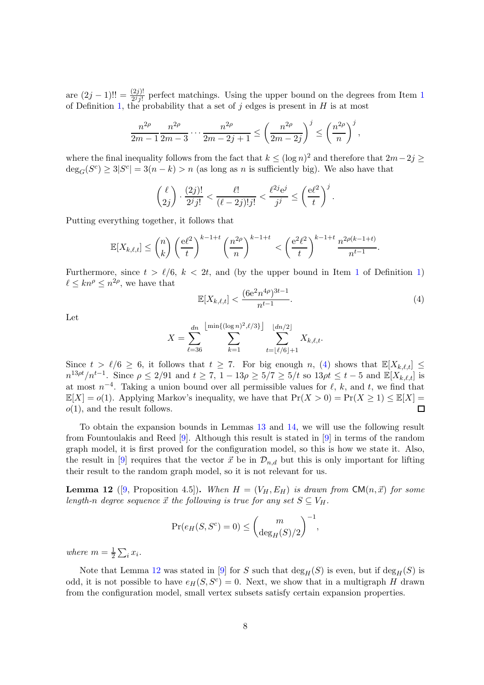are  $(2j-1)!! = \frac{(2j)!}{2^j j!}$  $(2j-1)!! = \frac{(2j)!}{2^j j!}$  $(2j-1)!! = \frac{(2j)!}{2^j j!}$  perfect matchings. Using the upper bound on the degrees from Item 1 of Definition [1,](#page-1-1) the probability that a set of j edges is present in  $H$  is at most

$$
\frac{n^{2\rho}}{2m-1} \frac{n^{2\rho}}{2m-3} \cdots \frac{n^{2\rho}}{2m-2j+1} \le \left(\frac{n^{2\rho}}{2m-2j}\right)^j \le \left(\frac{n^{2\rho}}{n}\right)^j,
$$

where the final inequality follows from the fact that  $k \leq (\log n)^2$  and therefore that  $2m-2j \geq$  $deg_G(S^c) \geq 3|S^c| = 3(n-k) > n$  (as long as n is sufficiently big). We also have that

$$
\binom{\ell}{2j} \cdot \frac{(2j)!}{2^j j!} < \frac{\ell!}{(\ell-2j)! j!} < \frac{\ell^{2j} e^j}{j^j} \le \left(\frac{e^{\ell^2}}{t}\right)^j.
$$

Putting everything together, it follows that

$$
\mathbb{E}[X_{k,\ell,t}] \leq {n \choose k} \left(\frac{\mathrm{e}\ell^2}{t}\right)^{k-1+t} \left(\frac{n^{2\rho}}{n}\right)^{k-1+t} < \left(\frac{\mathrm{e}^2\ell^2}{t}\right)^{k-1+t} \frac{n^{2\rho(k-1+t)}}{n^{t-1}}.
$$

Furthermore, since  $t > l/6$ ,  $k < 2t$ , and (by the upper bound in Item [1](#page-1-2) of Definition [1\)](#page-1-1)  $\ell \leq kn^{\rho} \leq n^{2\rho}$ , we have that

<span id="page-7-0"></span>
$$
\mathbb{E}[X_{k,\ell,t}] < \frac{(6e^2n^{4\rho})^{3t-1}}{n^{t-1}}.\tag{4}
$$

Let

$$
X = \sum_{\ell=36}^{dn} \sum_{k=1}^{\lfloor \min\{(\log n)^2, \ell/3\} \rfloor} \sum_{t=\lfloor \ell/6 \rfloor+1}^{\lfloor dn/2 \rfloor} X_{k,\ell,t}.
$$

Since  $t > \ell/6 \geq 6$ , it follows that  $t \geq 7$ . For big enough n, [\(4\)](#page-7-0) shows that  $\mathbb{E}[X_{k,\ell,t}] \leq$  $n^{13\rho t}/n^{t-1}$ . Since  $\rho \le 2/91$  and  $t \ge 7$ ,  $1-13\rho \ge 5/7 \ge 5/t$  so  $13\rho t \le t-5$  and  $\mathbb{E}[X_{k,\ell,t}]$  is at most  $n^{-4}$ . Taking a union bound over all permissible values for  $\ell$ , k, and t, we find that  $\mathbb{E}[X] = o(1)$ . Applying Markov's inequality, we have that  $Pr(X > 0) = Pr(X \ge 1) \le \mathbb{E}[X] = o(1)$ , and the result follows.  $o(1)$ , and the result follows.

To obtain the expansion bounds in Lemmas [13](#page-8-0) and [14,](#page-8-1) we will use the following result from Fountoulakis and Reed [\[9\]](#page-21-11). Although this result is stated in [\[9\]](#page-21-11) in terms of the random graph model, it is first proved for the configuration model, so this is how we state it. Also, the result in [\[9\]](#page-21-11) requires that the vector  $\vec{x}$  be in  $\mathcal{D}_{n,d}$  but this is only important for lifting their result to the random graph model, so it is not relevant for us.

<span id="page-7-1"></span>**Lemma 12** ([\[9,](#page-21-11) Proposition 4.5]). When  $H = (V_H, E_H)$  is drawn from  $CM(n, \vec{x})$  for some length-n degree sequence  $\vec{x}$  the following is true for any set  $S \subseteq V_H$ .

$$
Pr(e_H(S, S^c) = 0) \leq {m \choose \deg_H(S)/2}^{-1},
$$

where  $m=\frac{1}{2}$  $rac{1}{2}\sum_i x_i$ .

Note that Lemma [12](#page-7-1) was stated in [\[9\]](#page-21-11) for S such that  $\deg_H(S)$  is even, but if  $\deg_H(S)$  is odd, it is not possible to have  $e_H(S, S^c) = 0$ . Next, we show that in a multigraph H drawn from the configuration model, small vertex subsets satisfy certain expansion properties.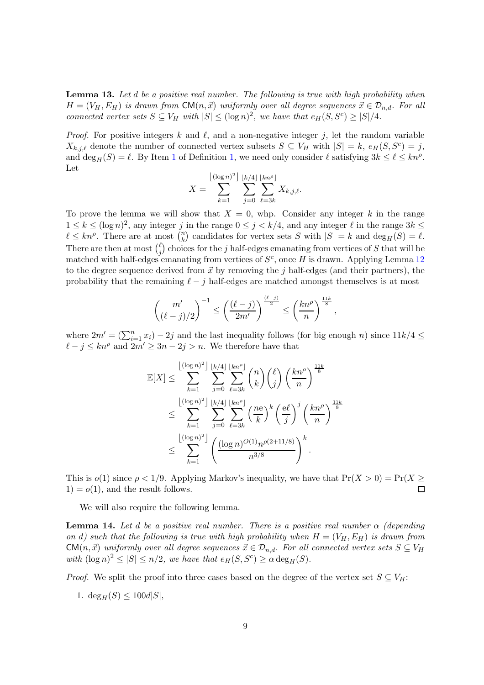<span id="page-8-0"></span>**Lemma 13.** Let  $d$  be a positive real number. The following is true with high probability when  $H = (V_H, E_H)$  is drawn from  $\mathsf{CM}(n, \vec{x})$  uniformly over all degree sequences  $\vec{x} \in \mathcal{D}_{n,d}$ . For all connected vertex sets  $S \subseteq V_H$  with  $|S| \leq (\log n)^2$ , we have that  $e_H(S, S^c) \geq |S|/4$ .

*Proof.* For positive integers k and  $\ell$ , and a non-negative integer j, let the random variable  $X_{k,j,\ell}$  denote the number of connected vertex subsets  $S \subseteq V_H$  with  $|S| = k$ ,  $e_H(S, S^c) = j$ , and  $\deg_H(S) = \ell$ . By Item [1](#page-1-2) of Definition [1,](#page-1-1) we need only consider  $\ell$  satisfying  $3k \leq \ell \leq kn^{\rho}$ . Let

$$
X = \sum_{k=1}^{\lfloor (\log n)^2 \rfloor} \sum_{j=0}^{\lfloor k/4 \rfloor} \sum_{\ell=3k}^{\lfloor kn^{\rho} \rfloor} X_{k,j,\ell}.
$$

To prove the lemma we will show that  $X = 0$ , whp. Consider any integer k in the range  $1 \leq k \leq (\log n)^2$ , any integer j in the range  $0 \leq j \leq k/4$ , and any integer  $\ell$  in the range  $3k \leq$  $\ell \leq kn^{\rho}$ . There are at most  $\binom{n}{k}$  $\binom{n}{k}$  candidates for vertex sets S with  $|S| = k$  and  $\deg_H(S) = \ell$ . There are then at most  $\binom{\ell}{i}$  $_{j}^{\ell}$ ) choices for the j half-edges emanating from vertices of S that will be matched with half-edges emanating from vertices of  $S<sup>c</sup>$ , once H is drawn. Applying Lemma [12](#page-7-1) to the degree sequence derived from  $\vec{x}$  by removing the j half-edges (and their partners), the probability that the remaining  $\ell - j$  half-edges are matched amongst themselves is at most

$$
\binom{m'}{(\ell-j)/2}^{-1}\leq \left(\frac{(\ell-j)}{2m'}\right)^{\frac{(\ell-j)}{2}}\leq \left(\frac{kn^\rho}{n}\right)^{\frac{11k}{8}}
$$

,

where  $2m' = (\sum_{i=1}^n x_i) - 2j$  and the last inequality follows (for big enough n) since  $11k/4 \le$  $\ell - j \leq kn^{\rho}$  and  $2m' \geq 3n - 2j > n$ . We therefore have that

$$
\mathbb{E}[X] \leq \sum_{k=1}^{\lfloor (\log n)^2 \rfloor} \sum_{j=0}^{\lfloor k/4 \rfloor} \sum_{\ell=3k}^{\lfloor kn^{\rho} \rfloor} \binom{n}{k} \binom{\ell}{j} \left(\frac{kn^{\rho}}{n}\right)^{\frac{11k}{8}} \n\leq \sum_{k=1}^{\lfloor (\log n)^2 \rfloor} \sum_{j=0}^{\lfloor k/4 \rfloor} \sum_{\ell=3k}^{\lfloor kn^{\rho} \rfloor} \left(\frac{ne}{k}\right)^k \left(\frac{e\ell}{j}\right)^j \left(\frac{kn^{\rho}}{n}\right)^{\frac{11k}{8}} \n\leq \sum_{k=1}^{\lfloor (\log n)^2 \rfloor} \left(\frac{(\log n)^{O(1)} n^{\rho(2+11/8)}}{n^{3/8}}\right)^k.
$$

This is  $o(1)$  since  $\rho < 1/9$ . Applying Markov's inequality, we have that  $Pr(X > 0) = Pr(X \ge 0)$  $1) = o(1)$ , and the result follows.

We will also require the following lemma.

<span id="page-8-1"></span>**Lemma 14.** Let d be a positive real number. There is a positive real number  $\alpha$  (depending on d) such that the following is true with high probability when  $H = (V_H, E_H)$  is drawn from  $CM(n, \vec{x})$  uniformly over all degree sequences  $\vec{x} \in \mathcal{D}_{n,d}$ . For all connected vertex sets  $S \subseteq V_H$ with  $(\log n)^2 \leq |S| \leq n/2$ , we have that  $e_H(S, S^c) \geq \alpha \deg_H(S)$ .

*Proof.* We split the proof into three cases based on the degree of the vertex set  $S \subseteq V_H$ :

1.  $\deg_H(S) \leq 100d|S|$ ,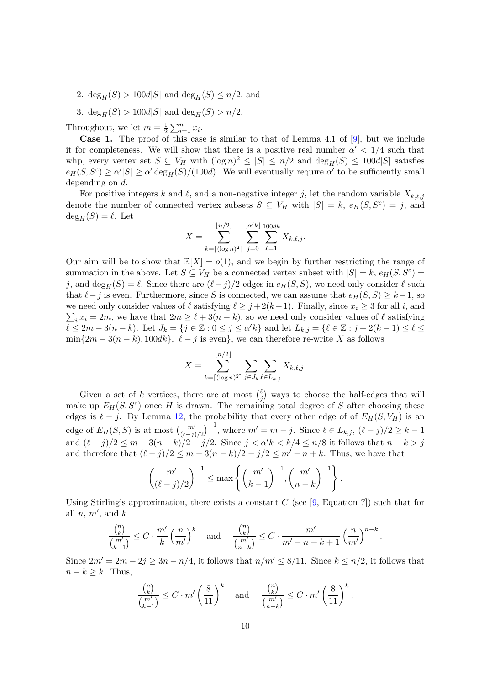- 2.  $deg_H(S) > 100d|S|$  and  $deg_H(S) \leq n/2$ , and
- 3. deg<sub>H</sub>(S) > 100d|S| and deg<sub>H</sub>(S) > n/2.

Throughout, we let  $m = \frac{1}{2} \sum_{i=1}^{n} x_i$ .

Case 1. The proof of this case is similar to that of Lemma 4.1 of [\[9\]](#page-21-11), but we include it for completeness. We will show that there is a positive real number  $\alpha' < 1/4$  such that whp, every vertex set  $S \subseteq V_H$  with  $(\log n)^2 \leq |S| \leq n/2$  and  $\deg_H(S) \leq 100d|S|$  satisfies  $e_H(S, S^c) \ge \alpha' |S| \ge \alpha' \deg_H(S) / (100d)$ . We will eventually require  $\alpha'$  to be sufficiently small depending on d.

For positive integers k and  $\ell$ , and a non-negative integer j, let the random variable  $X_{k,\ell,j}$ denote the number of connected vertex subsets  $S \subseteq V_H$  with  $|S| = k$ ,  $e_H(S, S^c) = j$ , and  $deg_H(S) = \ell$ . Let

$$
X = \sum_{k=\lceil (\log n)^2 \rceil}^{\lfloor n/2 \rfloor} \sum_{j=0}^{\lfloor \alpha^{\prime} k \rfloor} \sum_{\ell=1}^{100dk} X_{k,\ell,j}.
$$

Our aim will be to show that  $\mathbb{E}[X] = o(1)$ , and we begin by further restricting the range of summation in the above. Let  $S \subseteq V_H$  be a connected vertex subset with  $|S| = k$ ,  $e_H(S, S^c) =$ j, and deg<sub>H</sub>(S) =  $\ell$ . Since there are  $(\ell - j)/2$  edges in  $e_H(S, S)$ , we need only consider  $\ell$  such that  $\ell - j$  is even. Furthermore, since S is connected, we can assume that  $e_H(S, S) \geq k-1$ , so  $\sum_i x_i = 2m$ , we have that  $2m \ge \ell + 3(n - k)$ , so we need only consider values of  $\ell$  satisfying we need only consider values of  $\ell$  satisfying  $\ell \geq j + 2(k-1)$ . Finally, since  $x_i \geq 3$  for all i, and  $\ell \leq 2m-3(n-k)$ . Let  $J_k = \{j \in \mathbb{Z} : 0 \leq j \leq \alpha' k\}$  and let  $L_{k,j} = \{\ell \in \mathbb{Z} : j + 2(k-1) \leq \ell \leq k\}$  $\min\{2m-3(n-k), 100dk\}, \ell-j$  is even}, we can therefore re-write X as follows

$$
X = \sum_{k=\lceil (\log n)^2 \rceil}^{\lfloor n/2 \rfloor} \sum_{j \in J_k} \sum_{\ell \in L_{k,j}} X_{k,\ell,j}.
$$

Given a set of k vertices, there are at most  $\binom{\ell}{i}$  $_{j}^{\ell}$ ) ways to choose the half-edges that will make up  $E_H(S, S^c)$  once H is drawn. The remaining total degree of S after choosing these edges is  $\ell - j$ . By Lemma [12,](#page-7-1) the probability that every other edge of of  $E_H(S, V_H)$  is an edge of  $E_H(S, S)$  is at most  ${m' \choose (\ell-j)/2}^{-1}$ , where  $m' = m - j$ . Since  $\ell \in L_{k,j}$ ,  $(\ell - j)/2 \geq k - 1$ and  $(\ell - j)/2 \le m - 3(n - k)/2 - j/2$ . Since  $j < \alpha' k < k/4 \le n/8$  it follows that  $n - k > j$ and therefore that  $(\ell - j)/2 \leq m - 3(n - k)/2 - j/2 \leq m' - n + k$ . Thus, we have that

$$
\binom{m'}{(\ell-j)/2}^{-1} \leq \max\left\{\binom{m'}{k-1}^{-1}, \binom{m'}{n-k}^{-1}\right\}.
$$

Using Stirling's approximation, there exists a constant  $C$  (see [\[9,](#page-21-11) Equation 7]) such that for all  $n, m'$ , and  $k$ 

$$
\frac{\binom{n}{k}}{\binom{m'}{k-1}} \le C \cdot \frac{m'}{k} \left(\frac{n}{m'}\right)^k \quad \text{and} \quad \frac{\binom{n}{k}}{\binom{m'}{n-k}} \le C \cdot \frac{m'}{m'-n+k+1} \left(\frac{n}{m'}\right)^{n-k}
$$

.

Since  $2m' = 2m - 2j \geq 3n - n/4$ , it follows that  $n/m' \leq 8/11$ . Since  $k \leq n/2$ , it follows that  $n - k \geq k$ . Thus,

$$
\frac{\binom{n}{k}}{\binom{m'}{k-1}} \leq C \cdot m' \left(\frac{8}{11}\right)^k \quad \text{and} \quad \frac{\binom{n}{k}}{\binom{m'}{n-k}} \leq C \cdot m' \left(\frac{8}{11}\right)^k,
$$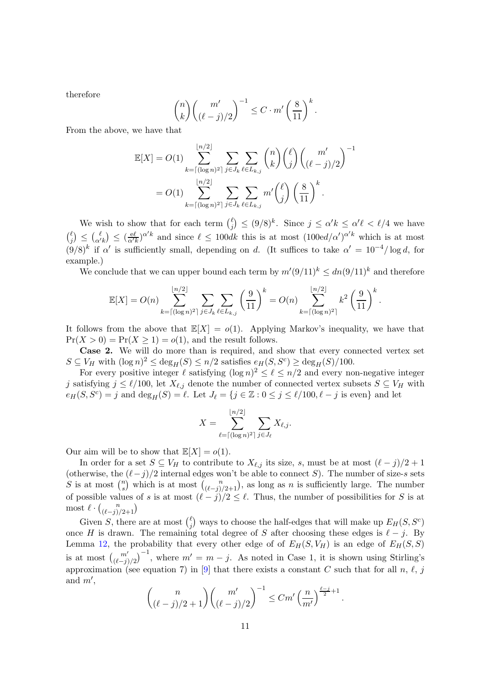therefore

$$
\binom{n}{k}\binom{m'}{(\ell-j)/2}^{-1} \leq C \cdot m'\left(\frac{8}{11}\right)^k.
$$

From the above, we have that

$$
\mathbb{E}[X] = O(1) \sum_{k=\lceil (\log n)^2 \rceil}^{\lfloor n/2 \rfloor} \sum_{j \in J_k} \sum_{\ell \in L_{k,j}} {n \choose k} { \ell \choose j} {m' \choose (\ell-j)/2}^{-1}
$$
  
=  $O(1) \sum_{k=\lceil (\log n)^2 \rceil}^{\lfloor n/2 \rfloor} \sum_{j \in J_k} \sum_{\ell \in L_{k,j}} m' { \ell \choose j} \left(\frac{8}{11}\right)^k.$ 

We wish to show that for each term  $\binom{\ell}{i}$  $\binom{\ell}{j} \leq (9/8)^k$ . Since  $j \leq \alpha' k \leq \alpha' \ell < \ell/4$  we have  $\int_{i}^{\ell}$  $\binom{\ell}{j} \leq \binom{\ell}{\alpha' k} \leq \frac{(\frac{e\ell}{\alpha' k})^{\alpha' k}}{\alpha' k}$  and since  $\ell \leq 100dk$  this is at most  $(100ed/\alpha')^{\alpha' k}$  which is at most  $(9/8)^k$  if  $\alpha'$  is sufficiently small, depending on d. (It suffices to take  $\alpha' = 10^{-4}/\log d$ , for example.)

We conclude that we can upper bound each term by  $m'(9/11)^k \leq dn(9/11)^k$  and therefore

$$
\mathbb{E}[X] = O(n) \sum_{k=\lceil (\log n)^2 \rceil}^{\lfloor n/2 \rfloor} \sum_{j \in J_k} \sum_{\ell \in L_{k,j}} \left( \frac{9}{11} \right)^k = O(n) \sum_{k=\lceil (\log n)^2 \rceil}^{\lfloor n/2 \rfloor} k^2 \left( \frac{9}{11} \right)^k.
$$

It follows from the above that  $\mathbb{E}[X] = o(1)$ . Applying Markov's inequality, we have that  $Pr(X > 0) = Pr(X \ge 1) = o(1)$ , and the result follows.

Case 2. We will do more than is required, and show that every connected vertex set  $S \subseteq V_H$  with  $(\log n)^2 \le \deg_H(S) \le n/2$  satisfies  $e_H(S, S^c) \ge \deg_H(S)/100$ .

For every positive integer  $\ell$  satisfying  $(\log n)^2 \leq \ell \leq n/2$  and every non-negative integer j satisfying  $j \leq \ell/100$ , let  $X_{\ell,j}$  denote the number of connected vertex subsets  $S \subseteq V_H$  with  $e_H(S, S^c) = j$  and  $\deg_H(S) = \ell$ . Let  $J_\ell = \{j \in \mathbb{Z} : 0 \le j \le \ell/100, \ell - j \text{ is even}\}$  and let

$$
X = \sum_{\ell=\lceil (\log n)^2 \rceil}^{\lfloor n/2 \rfloor} \sum_{j \in J_{\ell}} X_{\ell,j}.
$$

Our aim will be to show that  $\mathbb{E}[X] = o(1)$ .

In order for a set  $S \subseteq V_H$  to contribute to  $X_{\ell,j}$  its size, s, must be at most  $(\ell - j)/2 + 1$ (otherwise, the  $(\ell-j)/2$  internal edges won't be able to connect S). The number of size-s sets S is at most  $\binom{n}{s}$ <sup>n</sup><sub>s</sub>) which is at most  $\binom{n}{(\ell-j)/2+1}$ , as long as *n* is sufficiently large. The number of possible values of s is at most  $(\ell - j)/2 \leq \ell$ . Thus, the number of possibilities for S is at most  $\ell \cdot {n \choose (\ell-j)/2+1}$ 

Given S, there are at most  $\binom{\ell}{i}$  $_{j}^{\ell}$ ) ways to choose the half-edges that will make up  $E_{H}(S,S^{c})$ once H is drawn. The remaining total degree of S after choosing these edges is  $\ell - j$ . By Lemma [12,](#page-7-1) the probability that every other edge of of  $E_H(S, V_H)$  is an edge of  $E_H(S, S)$ is at most  $\binom{m'}{(\ell-j)/2}^{-1}$ , where  $m' = m - j$ . As noted in Case 1, it is shown using Stirling's approximation (see equation 7) in [\[9\]](#page-21-11) that there exists a constant C such that for all n,  $\ell$ , j and  $m'$ ,

$$
\binom{n}{(\ell-j)/2+1} \binom{m'}{(\ell-j)/2}^{-1} \le Cm' \left(\frac{n}{m'}\right)^{\frac{\ell-j}{2}+1}
$$

.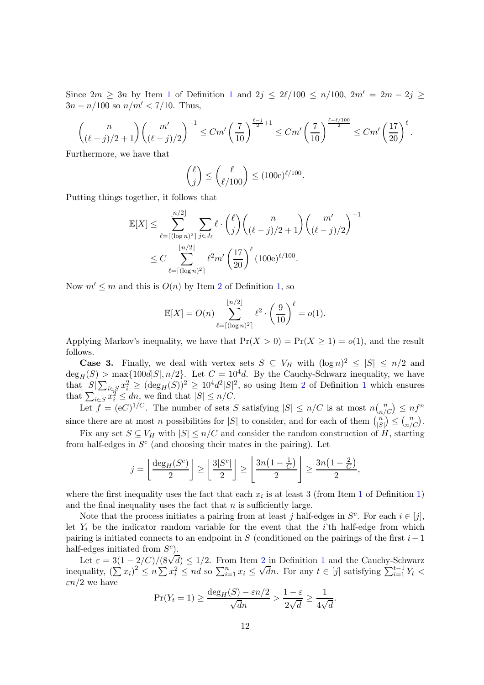Since  $2m \ge 3n$  by Item [1](#page-1-1) of Definition 1 and  $2j \le 2\ell/100 \le n/100$ ,  $2m' = 2m - 2j \ge 3$  $3n - n/100$  so  $n/m' < 7/10$ . Thus,

$$
\binom{n}{(\ell-j)/2+1} \binom{m'}{(\ell-j)/2}^{-1} \le Cm' \left(\frac{7}{10}\right)^{\frac{\ell-j}{2}+1} \le Cm' \left(\frac{7}{10}\right)^{\frac{\ell-\ell/100}{2}} \le Cm' \left(\frac{17}{20}\right)^{\ell}.
$$

Furthermore, we have that

$$
\binom{\ell}{j} \le \binom{\ell}{\ell/100} \le (100e)^{\ell/100}.
$$

Putting things together, it follows that

$$
\mathbb{E}[X] \leq \sum_{\ell=\lceil (\log n)^2 \rceil}^{\lfloor n/2 \rfloor} \sum_{j \in J_{\ell}} \ell \cdot {\ell \choose j} {n \choose (\ell-j)/2 + 1} {m' \choose (\ell-j)/2}^{-1}
$$
  

$$
\leq C \sum_{\ell=\lceil (\log n)^2 \rceil}^{\lfloor n/2 \rfloor} \ell^2 m' \left(\frac{17}{20}\right)^{\ell} (100e)^{\ell/100}.
$$

Now  $m' \leq m$  and this is  $O(n)$  by Item [2](#page-1-0) of Definition [1,](#page-1-1) so

$$
\mathbb{E}[X] = O(n) \sum_{\ell = \lceil (\log n)^2 \rceil}^{\lfloor n/2 \rfloor} \ell^2 \cdot \left(\frac{9}{10}\right)^{\ell} = o(1).
$$

Applying Markov's inequality, we have that  $Pr(X > 0) = Pr(X \ge 1) = o(1)$ , and the result follows.

**Case 3.** Finally, we deal with vertex sets  $S \subseteq V_H$  with  $(\log n)^2 \leq |S| \leq n/2$  and  $deg_H(S) > max{100d|S|, n/2}$ . Let  $C = 10^4d$ . By the Cauchy-Schwarz inequality, we have that  $|S| \sum_{i \in S} x_i^2 \geq (\deg_H(S))^2 \geq 10^4 d^2 |S|^2$  $|S| \sum_{i \in S} x_i^2 \geq (\deg_H(S))^2 \geq 10^4 d^2 |S|^2$  $|S| \sum_{i \in S} x_i^2 \geq (\deg_H(S))^2 \geq 10^4 d^2 |S|^2$  $|S| \sum_{i \in S} x_i^2 \geq (\deg_H(S))^2 \geq 10^4 d^2 |S|^2$  $|S| \sum_{i \in S} x_i^2 \geq (\deg_H(S))^2 \geq 10^4 d^2 |S|^2$ , so using Item 2 of Definition 1 which ensures that  $\sum_{i \in S} x_i^2 \leq dn$ , we find that  $|S| \leq n/C$ .

Let  $f = (eC)^{1/C}$ . The number of sets S satisfying  $|S| \le n/C$  is at most  $n\binom{n}{n/C} \le nf^n$ since there are at most n possibilities for  $|S|$  to consider, and for each of them  $\binom{n}{|S|}$  $\binom{n}{|S|} \leq \binom{n}{n/C}.$ 

Fix any set  $S \subseteq V_H$  with  $|S| \leq n/C$  and consider the random construction of H, starting from half-edges in  $S<sup>c</sup>$  (and choosing their mates in the pairing). Let

$$
j = \left\lfloor \frac{\deg_H(S^c)}{2} \right\rfloor \ge \left\lfloor \frac{3|S^c|}{2} \right\rfloor \ge \left\lfloor \frac{3n\left(1 - \frac{1}{C}\right)}{2} \right\rfloor \ge \frac{3n\left(1 - \frac{2}{C}\right)}{2},
$$

where the first inequality uses the fact that each  $x_i$  is at least 3 (from Item [1](#page-1-2) of Definition [1\)](#page-1-1) and the final inequality uses the fact that  $n$  is sufficiently large.

Note that the process initiates a pairing from at least j half-edges in  $S<sup>c</sup>$ . For each  $i \in [j]$ , let  $Y_i$  be the indicator random variable for the event that the *i*'th half-edge from which pairing is initiated connects to an endpoint in S (conditioned on the pairings of the first  $i-1$ half-edges initiated from  $S^c$ ).

Let  $\varepsilon = 3(1-2/C)/(8\sqrt{d}) \le 1/2$  $\varepsilon = 3(1-2/C)/(8\sqrt{d}) \le 1/2$  $\varepsilon = 3(1-2/C)/(8\sqrt{d}) \le 1/2$  $\varepsilon = 3(1-2/C)/(8\sqrt{d}) \le 1/2$  $\varepsilon = 3(1-2/C)/(8\sqrt{d}) \le 1/2$ . From Item 2 in Definition 1 and the Cauchy-Schwarz inequality,  $(\sum x_i)^2 \le n \sum x_i^2 \le nd$  so  $\sum_{i=1}^n x_i \le \sqrt{dn}$ . For any  $t \in [j]$  satisfying  $\sum_{i=1}^{t-1} Y_t$  $\epsilon n/2$  we have

$$
\Pr(Y_t = 1) \ge \frac{\deg_H(S) - \varepsilon n/2}{\sqrt{d}n} > \frac{1 - \varepsilon}{2\sqrt{d}} \ge \frac{1}{4\sqrt{d}}
$$

.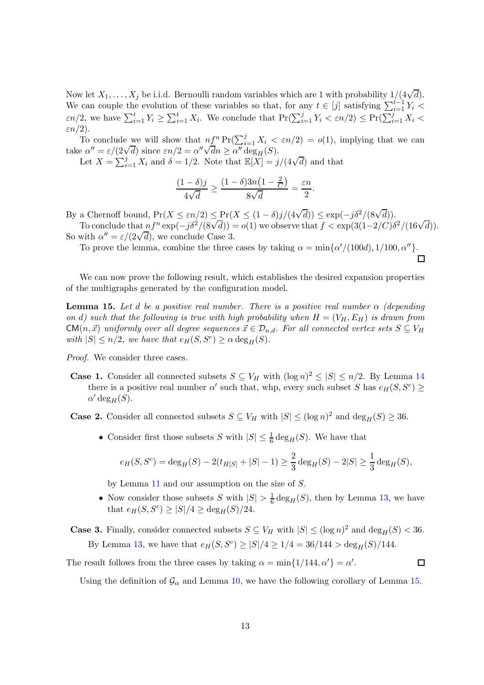Now let  $X_1, \ldots, X_j$  be i.i.d. Bernoulli random variables which are 1 with probability  $1/(4\sqrt{d})$ . We can couple the evolution of these variables so that, for any  $t \in [j]$  satisfying  $\sum_{i=1}^{t-1} Y_i$  $\epsilon n/2$ , we have  $\sum_{i=1}^t Y_i \geq \sum_{i=1}^t X_i$ . We conclude that  $\Pr(\sum_{i=1}^j Y_i \leq \epsilon n/2) \leq \Pr(\sum_{i=1}^j X_i \leq \epsilon n/2)$  $\varepsilon n/2$ ).

To conclude we will show that  $n\underline{f}^n \Pr(\sum_{i=1}^j X_i < \varepsilon n/2) = o(1)$ , implying that we can take  $\alpha'' = \varepsilon/(2\sqrt{d})$  since  $\varepsilon n/2 = \alpha''\sqrt{dn} \ge \alpha'' \deg_H(S)$ .

Let  $X = \sum_{i=1}^{j} X_i$  and  $\delta = 1/2$ . Note that  $\mathbb{E}[X] = j/(4\sqrt{d})$  and that

$$
\frac{(1-\delta)j}{4\sqrt{d}} \ge \frac{(1-\delta)3n\left(1-\frac{2}{C}\right)}{8\sqrt{d}} = \frac{\varepsilon n}{2}.
$$

By a Chernoff bound,  $Pr(X \le \varepsilon n/2) \le Pr(X \le (1 - \delta)j/(4\sqrt{d})) \le exp(-j\delta^2/(8\sqrt{d})).$ To conclude that  $nf^n \exp(-j\delta^2/(8\sqrt{d})) = o(1)$  we observe that  $f < \exp(3(1-2/C)\delta^2/(16\sqrt{d}))$ .

So with  $\alpha'' = \varepsilon/(2\sqrt{d})$ , we conclude Case 3.

To prove the lemma, combine the three cases by taking  $\alpha = \min{\{\alpha'/(100d), 1/100, \alpha''\}}$ .

We can now prove the following result, which establishes the desired expansion properties of the multigraphs generated by the configuration model.

<span id="page-12-0"></span>**Lemma 15.** Let d be a positive real number. There is a positive real number  $\alpha$  (depending on d) such that the following is true with high probability when  $H = (V_H, E_H)$  is drawn from  $CM(n, \vec{x})$  uniformly over all degree sequences  $\vec{x} \in \mathcal{D}_{n,d}$ . For all connected vertex sets  $S \subseteq V_H$ with  $|S| \le n/2$ , we have that  $e_H(S, S^c) \ge \alpha \deg_H(S)$ .

Proof. We consider three cases.

**Case 1.** Consider all connected subsets  $S \subseteq V_H$  with  $(\log n)^2 \leq |S| \leq n/2$ . By Lemma [14](#page-8-1) there is a positive real number  $\alpha'$  such that, whp, every such subset S has  $e_H(S, S^c) \ge$  $\alpha' \deg_H(S)$ .

**Case 2.** Consider all connected subsets  $S \subseteq V_H$  with  $|S| \leq (\log n)^2$  and  $\deg_H(S) \geq 36$ .

• Consider first those subsets S with  $|S| \leq \frac{1}{6} \deg_H(S)$ . We have that

$$
e_H(S, S^c) = \deg_H(S) - 2(t_{H[S]} + |S| - 1) \ge \frac{2}{3} \deg_H(S) - 2|S| \ge \frac{1}{3} \deg_H(S),
$$

by Lemma [11](#page-6-1) and our assumption on the size of S.

• Now consider those subsets S with  $|S| > \frac{1}{6}$  $\frac{1}{6}$  deg<sub>H</sub>(S), then by Lemma [13,](#page-8-0) we have that  $e_H(S, S^c) \ge |S|/4 \ge \deg_H(S)/24$ .

**Case 3.** Finally, consider connected subsets  $S \subseteq V_H$  with  $|S| \leq (\log n)^2$  and  $\deg_H(S) < 36$ . By Lemma [13,](#page-8-0) we have that  $e_H(S, S^c) \ge |S|/4 \ge 1/4 = 36/144 > \deg_H(S)/144$ .

The result follows from the three cases by taking  $\alpha = \min\{1/144, \alpha'\} = \alpha'$ .

 $\Box$ 

Using the definition of  $\mathcal{G}_{\alpha}$  and Lemma [10,](#page-6-2) we have the following corollary of Lemma [15.](#page-12-0)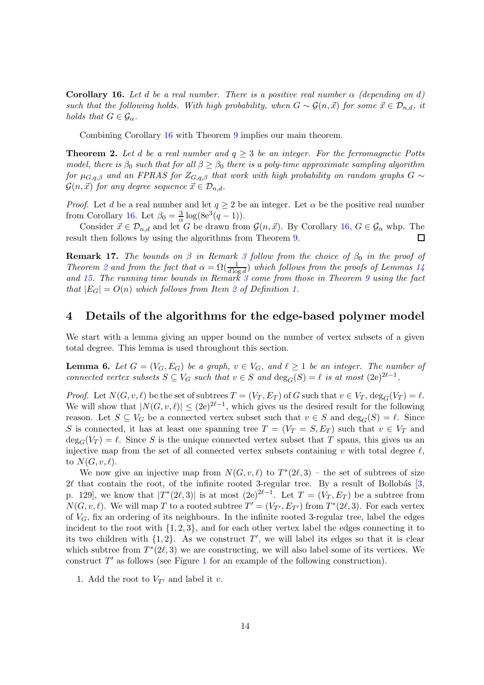<span id="page-13-2"></span>**Corollary 16.** Let d be a real number. There is a positive real number  $\alpha$  (depending on d) such that the following holds. With high probability, when  $G \sim \mathcal{G}(n, \vec{x})$  for some  $\vec{x} \in \mathcal{D}_{n,d}$ , it holds that  $G \in \mathcal{G}_{\alpha}$ .

Combining Corollary [16](#page-13-2) with Theorem [9](#page-5-1) implies our main theorem.

**Theorem 2.** Let d be a real number and  $q \geq 3$  be an integer. For the ferromagnetic Potts model, there is  $\beta_0$  such that for all  $\beta \ge \beta_0$  there is a poly-time approximate sampling algorithm for  $\mu_{G,q,\beta}$  and an FPRAS for  $Z_{G,q,\beta}$  that work with high probability on random graphs  $G \sim$  $\mathcal{G}(n, \vec{x})$  for any degree sequence  $\vec{x} \in \mathcal{D}_{n,d}$ .

*Proof.* Let d be a real number and let  $q \geq 2$  be an integer. Let  $\alpha$  be the positive real number from Corollary [16.](#page-13-2) Let  $\beta_0 = \frac{3}{\alpha}$  $\frac{3}{\alpha} \log(8e^3(q-1)).$ 

Consider  $\vec{x} \in \mathcal{D}_{n,d}$  and let G be drawn from  $\mathcal{G}(n, \vec{x})$ . By Corollary [16,](#page-13-2)  $G \in \mathcal{G}_{\alpha}$  whp. The alt then follows by using the algorithms from Theorem 9. result then follows by using the algorithms from Theorem [9.](#page-5-1)

<span id="page-13-0"></span>**Remark 17.** The bounds on  $\beta$  in Remark [3](#page-2-3) follow from the choice of  $\beta_0$  in the proof of Theorem [2](#page-2-2) and from the fact that  $\alpha = \Omega(\frac{1}{d \log d})$  which follows from the proofs of Lemmas [14](#page-8-1) and [15.](#page-12-0) The running time bounds in Remark  $3$  come from those in Theorem  $9$  using the fact that  $|E_G| = O(n)$  which follows from Item [2](#page-1-0) of Definition [1.](#page-1-1)

### <span id="page-13-1"></span>4 Details of the algorithms for the edge-based polymer model

We start with a lemma giving an upper bound on the number of vertex subsets of a given total degree. This lemma is used throughout this section.

**Lemma 6.** Let  $G = (V_G, E_G)$  be a graph,  $v \in V_G$ , and  $\ell \geq 1$  be an integer. The number of connected vertex subsets  $S \subseteq V_G$  such that  $v \in S$  and  $\deg_G(S) = \ell$  is at most  $(2e)^{2\ell-1}$ .

*Proof.* Let  $N(G, v, \ell)$  be the set of subtrees  $T = (V_T, E_T)$  of G such that  $v \in V_T$ ,  $\deg_G(V_T) = \ell$ . We will show that  $|N(G, v, \ell)| \le (2e)^{2\ell-1}$ , which gives us the desired result for the following reason. Let  $S \subseteq V_G$  be a connected vertex subset such that  $v \in S$  and  $\deg_G(S) = \ell$ . Since S is connected, it has at least one spanning tree  $T = (V_T = S, E_T)$  such that  $v \in V_T$  and  $\deg_G(V_T) = \ell$ . Since S is the unique connected vertex subset that T spans, this gives us an injective map from the set of all connected vertex subsets containing v with total degree  $\ell$ , to  $N(G, v, \ell)$ .

We now give an injective map from  $N(G, v, \ell)$  to  $T^*(2\ell, 3)$  – the set of subtrees of size  $2\ell$  that contain the root, of the infinite rooted 3-regular tree. By a result of Bollobás [\[3,](#page-21-12) p. 129], we know that  $|T^*(2\ell,3)|$  is at most  $(2e)^{2\ell-1}$ . Let  $T=(V_T, E_T)$  be a subtree from  $N(G, v, \ell)$ . We will map T to a rooted subtree  $T' = (V_{T'}, E_{T'})$  from  $T^*(2\ell, 3)$ . For each vertex of  $V_G$ , fix an ordering of its neighbours. In the infinite rooted 3-regular tree, label the edges incident to the root with  $\{1, 2, 3\}$ , and for each other vertex label the edges connecting it to its two children with  $\{1, 2\}$ . As we construct T', we will label its edges so that it is clear which subtree from  $T^*(2\ell,3)$  we are constructing, we will also label some of its vertices. We construct  $T'$  as follows (see Figure [1](#page-14-1) for an example of the following construction).

1. Add the root to  $V_{T'}$  and label it v.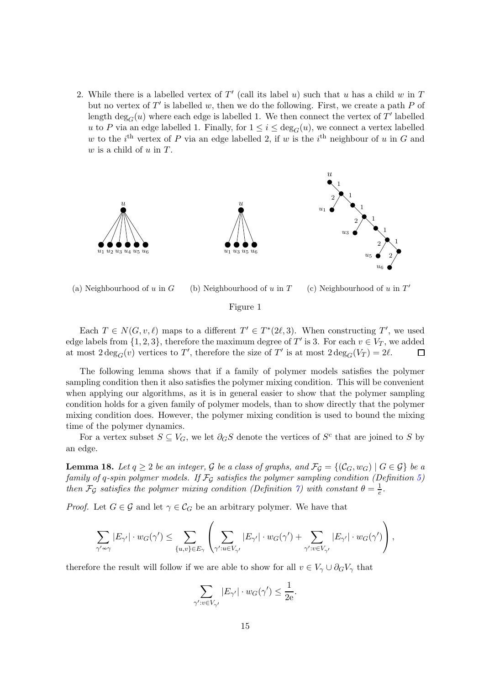2. While there is a labelled vertex of  $T'$  (call its label u) such that u has a child w in  $T$ but no vertex of  $T'$  is labelled w, then we do the following. First, we create a path  $P$  of length  $\deg_G(u)$  where each edge is labelled 1. We then connect the vertex of  $T'$  labelled u to P via an edge labelled 1. Finally, for  $1 \leq i \leq \deg_G(u)$ , we connect a vertex labelled w to the *i*<sup>th</sup> vertex of P via an edge labelled 2, if w is the *i*<sup>th</sup> neighbour of u in G and  $w$  is a child of  $u$  in  $T$ .

<span id="page-14-1"></span>

(a) Neighbourhood of  $u$  in  $G$ (b) Neighbourhood of  $u$  in  $T$ (c) Neighbourhood of  $u$  in  $T'$ 

### Figure 1

Each  $T \in N(G, v, \ell)$  maps to a different  $T' \in T^*(2\ell, 3)$ . When constructing  $T'$ , we used edge labels from  $\{1, 2, 3\}$ , therefore the maximum degree of T' is 3. For each  $v \in V_T$ , we added at most  $2 \deg_G(v)$  vertices to T', therefore the size of T' is at most  $2 \deg_G(V_T) = 2\ell$ .

The following lemma shows that if a family of polymer models satisfies the polymer sampling condition then it also satisfies the polymer mixing condition. This will be convenient when applying our algorithms, as it is in general easier to show that the polymer sampling condition holds for a given family of polymer models, than to show directly that the polymer mixing condition does. However, the polymer mixing condition is used to bound the mixing time of the polymer dynamics.

For a vertex subset  $S \subseteq V_G$ , we let  $\partial_G S$  denote the vertices of  $S^c$  that are joined to S by an edge.

<span id="page-14-0"></span>**Lemma 18.** Let  $q \ge 2$  be an integer, G be a class of graphs, and  $\mathcal{F}_q = \{(\mathcal{C}_G, w_G) \mid G \in \mathcal{G}\}\$ be a family of q-spin polymer models. If  $\mathcal{F}_G$  satisfies the polymer sampling condition (Definition [5\)](#page-3-3) then  $\mathcal{F}_{\mathcal{G}}$  satisfies the polymer mixing condition (Definition [7\)](#page-4-2) with constant  $\theta = \frac{1}{e}$  $\frac{1}{e}$ .

*Proof.* Let  $G \in \mathcal{G}$  and let  $\gamma \in \mathcal{C}_G$  be an arbitrary polymer. We have that

γ

$$
\sum_{\gamma'\not\sim\gamma} |E_{\gamma'}|\cdot w_G(\gamma') \leq \sum_{\{u,v\}\in E_{\gamma}} \left(\sum_{\gamma':u\in V_{\gamma'}} |E_{\gamma'}|\cdot w_G(\gamma') + \sum_{\gamma':v\in V_{\gamma'}} |E_{\gamma'}|\cdot w_G(\gamma')\right),
$$

therefore the result will follow if we are able to show for all  $v \in V_{\gamma} \cup \partial_G V_{\gamma}$  that

$$
\sum_{\gamma':v\in V_{\gamma'}}|E_{\gamma'}|\cdot w_G(\gamma')\leq \frac{1}{2e}.
$$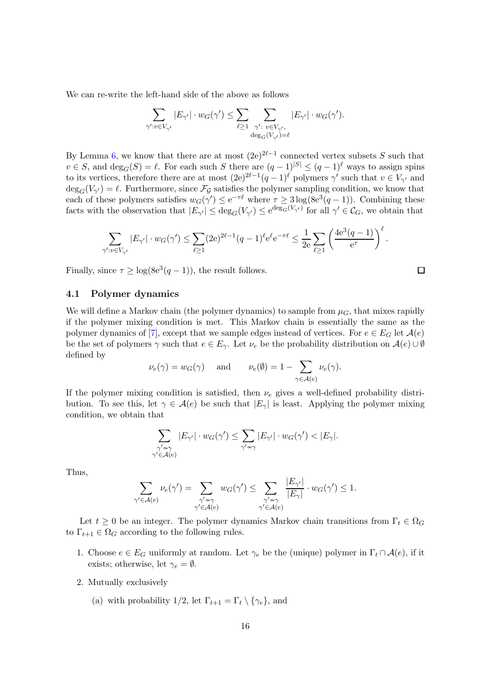We can re-write the left-hand side of the above as follows

$$
\sum_{\gamma':v\in V_{\gamma'}}|E_{\gamma'}|\cdot w_G(\gamma')\leq \sum_{\ell\geq 1}\sum_{\substack{\gamma':\\ \deg_G(V_{\gamma'})=\ell}}|E_{\gamma'}|\cdot w_G(\gamma').
$$

By Lemma [6,](#page-4-0) we know that there are at most  $(2e)^{2\ell-1}$  connected vertex subsets S such that  $v \in S$ , and  $\deg_G(S) = \ell$ . For each such S there are  $(q-1)^{|S|} \leq (q-1)^{\ell}$  ways to assign spins to its vertices, therefore there are at most  $(2e)^{2\ell-1}(q-1)^\ell$  polymers  $\gamma'$  such that  $v \in V_{\gamma'}$  and  $deg_G(V_{\gamma'}) = \ell$ . Furthermore, since  $\mathcal{F}_{\mathcal{G}}$  satisfies the polymer sampling condition, we know that each of these polymers satisfies  $w_G(\gamma') \leq e^{-\tau \ell}$  where  $\tau \geq 3 \log(8e^3(q-1))$ . Combining these facts with the observation that  $|E_{\gamma'}| \leq \deg_G(V_{\gamma'}) \leq e^{\deg_G(V_{\gamma'})}$  for all  $\gamma' \in C_G$ , we obtain that

$$
\sum_{\gamma':v\in V_{\gamma'}}|E_{\gamma'}|\cdot w_G(\gamma')\leq \sum_{\ell\geq 1}(2{\rm e})^{2\ell-1}(q-1)^{\ell}{\rm e}^{\ell}{\rm e}^{-\tau\ell}\leq \frac{1}{2{\rm e}}\sum_{\ell\geq 1}\left(\frac{4{\rm e}^3(q-1)}{{\rm e}^{\tau}}\right)^{\ell}.
$$

 $\Box$ 

Finally, since  $\tau \geq \log(8e^3(q-1))$ , the result follows.

#### 4.1 Polymer dynamics

We will define a Markov chain (the polymer dynamics) to sample from  $\mu_G$ , that mixes rapidly if the polymer mixing condition is met. This Markov chain is essentially the same as the polymer dynamics of [\[7\]](#page-21-1), except that we sample edges instead of vertices. For  $e \in E_G$  let  $\mathcal{A}(e)$ be the set of polymers  $\gamma$  such that  $e \in E_{\gamma}$ . Let  $\nu_e$  be the probability distribution on  $\mathcal{A}(e) \cup \emptyset$ defined by

$$
\nu_e(\gamma) = w_G(\gamma)
$$
 and  $\nu_e(\emptyset) = 1 - \sum_{\gamma \in \mathcal{A}(e)} \nu_e(\gamma).$ 

If the polymer mixing condition is satisfied, then  $\nu_e$  gives a well-defined probability distribution. To see this, let  $\gamma \in \mathcal{A}(e)$  be such that  $|E_{\gamma}|$  is least. Applying the polymer mixing condition, we obtain that

$$
\sum_{\substack{\gamma'\nsim\gamma\\ \gamma'\in\mathcal{A}(e)}}|E_{\gamma'}|\cdot w_G(\gamma')\leq \sum_{\gamma'\nsim\gamma}|E_{\gamma'}|\cdot w_G(\gamma')<|E_\gamma|.
$$

Thus,

$$
\sum_{\gamma'\in\mathcal{A}(e)}\nu_e(\gamma')=\sum_{\substack{\gamma'\not\sim\gamma\\ \gamma'\in\mathcal{A}(e)}}w_G(\gamma')\leq \sum_{\substack{\gamma'\not\sim\gamma\\ \gamma'\in\mathcal{A}(e)}}\frac{|E_{\gamma'}|}{|E_{\gamma}|}\cdot w_G(\gamma')\leq 1.
$$

Let  $t \geq 0$  be an integer. The polymer dynamics Markov chain transitions from  $\Gamma_t \in \Omega_G$ to  $\Gamma_{t+1} \in \Omega_G$  according to the following rules.

- 1. Choose  $e \in E_G$  uniformly at random. Let  $\gamma_e$  be the (unique) polymer in  $\Gamma_t \cap \mathcal{A}(e)$ , if it exists; otherwise, let  $\gamma_e = \emptyset$ .
- 2. Mutually exclusively
	- (a) with probability 1/2, let  $\Gamma_{t+1} = \Gamma_t \setminus {\gamma_e}$ , and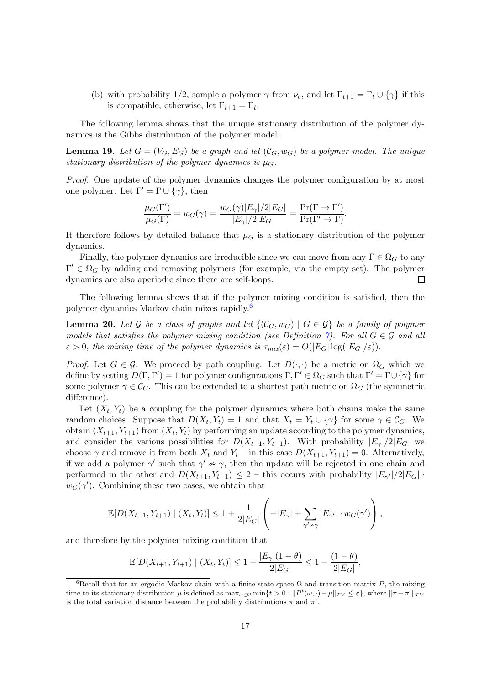(b) with probability 1/2, sample a polymer  $\gamma$  from  $\nu_e$ , and let  $\Gamma_{t+1} = \Gamma_t \cup {\gamma}$  if this is compatible; otherwise, let  $\Gamma_{t+1} = \Gamma_t$ .

The following lemma shows that the unique stationary distribution of the polymer dynamics is the Gibbs distribution of the polymer model.

<span id="page-16-1"></span>**Lemma 19.** Let  $G = (V_G, E_G)$  be a graph and let  $(C_G, w_G)$  be a polymer model. The unique stationary distribution of the polymer dynamics is  $\mu_G$ .

Proof. One update of the polymer dynamics changes the polymer configuration by at most one polymer. Let  $\Gamma' = \Gamma \cup \{\gamma\}$ , then

$$
\frac{\mu_G(\Gamma')}{\mu_G(\Gamma)} = w_G(\gamma) = \frac{w_G(\gamma)|E_\gamma|/2|E_G|}{|E_\gamma|/2|E_G|} = \frac{\Pr(\Gamma \to \Gamma')}{\Pr(\Gamma' \to \Gamma)}.
$$

It therefore follows by detailed balance that  $\mu$ <sup>G</sup> is a stationary distribution of the polymer dynamics.

Finally, the polymer dynamics are irreducible since we can move from any  $\Gamma \in \Omega_G$  to any  $\Gamma' \in \Omega_G$  by adding and removing polymers (for example, via the empty set). The polymer dynamics are also aperiodic since there are self-loops.

The following lemma shows that if the polymer mixing condition is satisfied, then the polymer dynamics Markov chain mixes rapidly.[6](#page-16-0)

<span id="page-16-2"></span>**Lemma 20.** Let G be a class of graphs and let  $\{(\mathcal{C}_G, w_G) | G \in \mathcal{G}\}\$ be a family of polymer models that satisfies the polymer mixing condition (see Definition [7\)](#page-4-2). For all  $G \in \mathcal{G}$  and all  $\varepsilon > 0$ , the mixing time of the polymer dynamics is  $\tau_{mix}(\varepsilon) = O(|E_G|\log(|E_G|/\varepsilon)).$ 

*Proof.* Let  $G \in \mathcal{G}$ . We proceed by path coupling. Let  $D(\cdot, \cdot)$  be a metric on  $\Omega_G$  which we define by setting  $D(\Gamma, \Gamma') = 1$  for polymer configurations  $\Gamma, \Gamma' \in \Omega_G$  such that  $\Gamma' = \Gamma \cup \{ \gamma \}$  for some polymer  $\gamma \in \mathcal{C}_G$ . This can be extended to a shortest path metric on  $\Omega_G$  (the symmetric difference).

Let  $(X_t, Y_t)$  be a coupling for the polymer dynamics where both chains make the same random choices. Suppose that  $D(X_t, Y_t) = 1$  and that  $X_t = Y_t \cup \{\gamma\}$  for some  $\gamma \in C_G$ . We obtain  $(X_{t+1}, Y_{t+1})$  from  $(X_t, Y_t)$  by performing an update according to the polymer dynamics, and consider the various possibilities for  $D(X_{t+1}, Y_{t+1})$ . With probability  $|E_{\gamma}|/2|E_G|$  we choose  $\gamma$  and remove it from both  $X_t$  and  $Y_t$  – in this case  $D(X_{t+1}, Y_{t+1}) = 0$ . Alternatively, if we add a polymer  $\gamma'$  such that  $\gamma' \nsim \gamma$ , then the update will be rejected in one chain and performed in the other and  $D(X_{t+1}, Y_{t+1}) \leq 2$  – this occurs with probability  $|E_{\gamma'}|/2|E_G|$ .  $w_G(\gamma')$ . Combining these two cases, we obtain that

$$
\mathbb{E}[D(X_{t+1}, Y_{t+1}) \mid (X_t, Y_t)] \leq 1 + \frac{1}{2|E_G|} \left( -|E_{\gamma}| + \sum_{\gamma' \nsim \gamma} |E_{\gamma'}| \cdot w_G(\gamma') \right),
$$

and therefore by the polymer mixing condition that

$$
\mathbb{E}[D(X_{t+1}, Y_{t+1}) \mid (X_t, Y_t)] \le 1 - \frac{|E_{\gamma}|(1-\theta)}{2|E_G|} \le 1 - \frac{(1-\theta)}{2|E_G|},
$$

<span id="page-16-0"></span><sup>&</sup>lt;sup>6</sup>Recall that for an ergodic Markov chain with a finite state space  $\Omega$  and transition matrix P, the mixing time to its stationary distribution  $\mu$  is defined as  $\max_{\omega \in \Omega} \min\{t > 0 : ||P^t(\omega, \cdot) - \mu||_{TV} \leq \varepsilon\}$ , where  $||\pi - \pi'||_{TV}$ is the total variation distance between the probability distributions  $\pi$  and  $\pi'$ .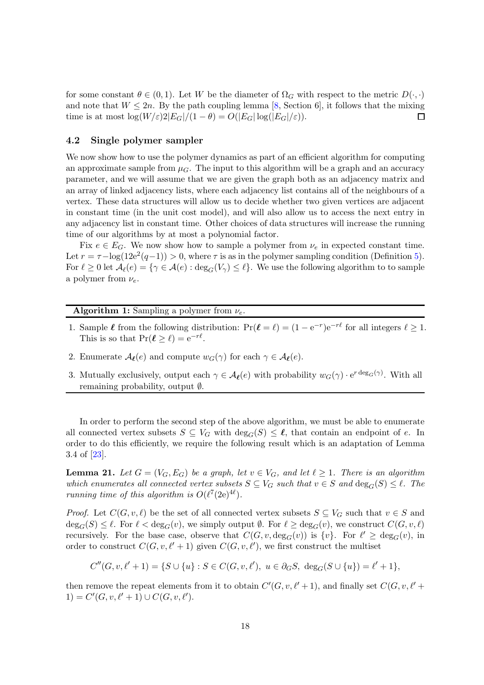for some constant  $\theta \in (0,1)$ . Let W be the diameter of  $\Omega_G$  with respect to the metric  $D(\cdot, \cdot)$ and note that  $W \le 2n$ . By the path coupling lemma [\[8,](#page-21-13) Section 6], it follows that the mixing time is at most  $\log(W/\varepsilon)2|E_G|/(1-\theta) = O(|E_G| \log(|E_G|/\varepsilon)).$ time is at most  $\log(W/\varepsilon)2|E_G|/(1-\theta) = O(|E_G|\log(|E_G|/\varepsilon)).$ 

### 4.2 Single polymer sampler

We now show how to use the polymer dynamics as part of an efficient algorithm for computing an approximate sample from  $\mu_G$ . The input to this algorithm will be a graph and an accuracy parameter, and we will assume that we are given the graph both as an adjacency matrix and an array of linked adjacency lists, where each adjacency list contains all of the neighbours of a vertex. These data structures will allow us to decide whether two given vertices are adjacent in constant time (in the unit cost model), and will also allow us to access the next entry in any adjacency list in constant time. Other choices of data structures will increase the running time of our algorithms by at most a polynomial factor.

Fix  $e \in E_G$ . We now show how to sample a polymer from  $\nu_e$  in expected constant time. Let  $r = \tau - \log(12e^2(q-1)) > 0$ , where  $\tau$  is as in the polymer sampling condition (Definition [5\)](#page-3-3). For  $\ell \geq 0$  let  $\mathcal{A}_{\ell}(e) = \{ \gamma \in \mathcal{A}(e) : \deg_G(V_{\gamma}) \leq \ell \}.$  We use the following algorithm to to sample a polymer from  $\nu_e$ .

### <span id="page-17-1"></span>**Algorithm 1:** Sampling a polymer from  $\nu_e$ .

- 1. Sample  $\ell$  from the following distribution:  $\Pr(\ell = \ell) = (1 e^{-r})e^{-r\ell}$  for all integers  $\ell \ge 1$ . This is so that  $Pr(\ell \geq \ell) = e^{-r\ell}$ .
- 2. Enumerate  $\mathcal{A}_{\ell}(e)$  and compute  $w_G(\gamma)$  for each  $\gamma \in \mathcal{A}_{\ell}(e)$ .
- 3. Mutually exclusively, output each  $\gamma \in \mathcal{A}_{\ell}(e)$  with probability  $w_G(\gamma) \cdot e^{r \deg_G(\gamma)}$ . With all remaining probability, output ∅.

In order to perform the second step of the above algorithm, we must be able to enumerate all connected vertex subsets  $S \subseteq V_G$  with  $\deg_G(S) \leq \ell$ , that contain an endpoint of e. In order to do this efficiently, we require the following result which is an adaptation of Lemma 3.4 of [\[23\]](#page-22-9).

<span id="page-17-0"></span>**Lemma 21.** Let  $G = (V_G, E_G)$  be a graph, let  $v \in V_G$ , and let  $\ell \geq 1$ . There is an algorithm which enumerates all connected vertex subsets  $S \subseteq V_G$  such that  $v \in S$  and  $\deg_G(S) \leq \ell$ . The running time of this algorithm is  $O(\ell^7(2e)^{4\ell}).$ 

*Proof.* Let  $C(G, v, \ell)$  be the set of all connected vertex subsets  $S \subseteq V_G$  such that  $v \in S$  and  $\deg_G(S) \leq \ell$ . For  $\ell < \deg_G(v)$ , we simply output  $\ell$ . For  $\ell \geq \deg_G(v)$ , we construct  $C(G, v, \ell)$ recursively. For the base case, observe that  $C(G, v, deg_G(v))$  is  $\{v\}$ . For  $\ell' \ge deg_G(v)$ , in order to construct  $C(G, v, \ell'+1)$  given  $C(G, v, \ell')$ , we first construct the multiset

 $C''(G, v, \ell' + 1) = \{ S \cup \{u\} : S \in C(G, v, \ell'), \ u \in \partial_G S, \ \deg_G(S \cup \{u\}) = \ell' + 1 \},\$ 

then remove the repeat elements from it to obtain  $C'(G, v, \ell'+1)$ , and finally set  $C(G, v, \ell'+1)$ 1) =  $C'(G, v, \ell' + 1) \cup C(G, v, \ell').$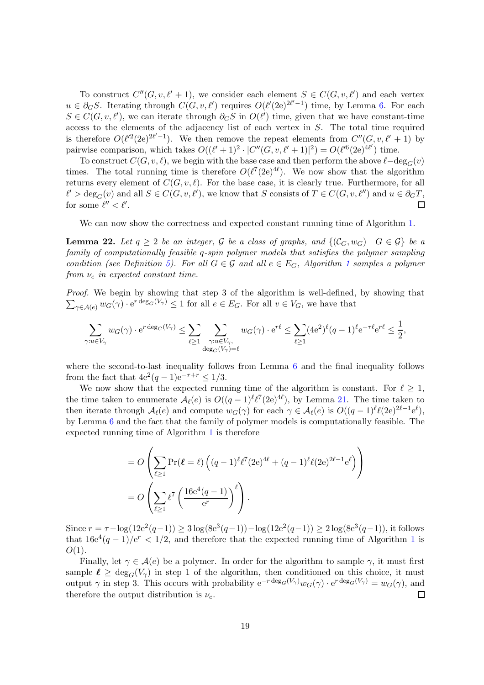To construct  $C''(G, v, \ell' + 1)$ , we consider each element  $S \in C(G, v, \ell')$  and each vertex  $u \in \partial_G S$ . Iterating through  $C(G, v, \ell')$  requires  $O(\ell'(2e)^{2\ell'-1})$  time, by Lemma [6.](#page-4-0) For each  $S \in C(G, v, \ell')$ , we can iterate through  $\partial_G S$  in  $O(\ell')$  time, given that we have constant-time access to the elements of the adjacency list of each vertex in S. The total time required is therefore  $O(\ell'^2(2e)^{2\ell'-1})$ . We then remove the repeat elements from  $C''(G, v, \ell'+1)$  by pairwise comparison, which takes  $O((\ell'+1)^2 \cdot |C''(G, v, \ell'+1)|^2) = O(\ell'^6(2e)^{4\ell'})$  time.

To construct  $C(G, v, \ell)$ , we begin with the base case and then perform the above  $\ell-\deg_G(v)$ times. The total running time is therefore  $O(\ell^7(2e)^{4\ell})$ . We now show that the algorithm returns every element of  $C(G, v, \ell)$ . For the base case, it is clearly true. Furthermore, for all  $\ell' > \deg_G(v)$  and all  $S \in C(G, v, \ell')$ , we know that S consists of  $T \in C(G, v, \ell'')$  and  $u \in \partial_G T$ , for some  $\ell'' < \ell'$ .

We can now show the correctness and expected constant running time of Algorithm [1.](#page-17-1)

<span id="page-18-0"></span>**Lemma 22.** Let  $q \ge 2$  be an integer, G be a class of graphs, and  $\{(\mathcal{C}_G, w_G) \mid G \in \mathcal{G}\}\)$  be a family of computationally feasible q-spin polymer models that satisfies the polymer sampling condition (see Definition [5\)](#page-3-3). For all  $G \in \mathcal{G}$  and all  $e \in E_G$ , Algorithm [1](#page-17-1) samples a polymer from  $\nu_e$  in expected constant time.

Proof. We begin by showing that step 3 of the algorithm is well-defined, by showing that  $\sum_{\gamma \in \mathcal{A}(e)} w_G(\gamma) \cdot e^{r \deg_G(V_\gamma)} \leq 1$  for all  $e \in E_G$ . For all  $v \in V_G$ , we have that

$$
\sum_{\gamma:u\in V_{\gamma}} w_G(\gamma) \cdot e^{r \deg_G(V_{\gamma})} \le \sum_{\ell \ge 1} \sum_{\substack{\gamma:u\in V_{\gamma},\\ \deg_G(V_{\gamma})=\ell}} w_G(\gamma) \cdot e^{r\ell} \le \sum_{\ell \ge 1} (4e^2)^{\ell} (q-1)^{\ell} e^{-\tau \ell} e^{r\ell} \le \frac{1}{2},
$$

where the second-to-last inequality follows from Lemma [6](#page-4-0) and the final inequality follows from the fact that  $4e^2(q-1)e^{-\tau+r} \leq 1/3$ .

We now show that the expected running time of the algorithm is constant. For  $\ell \geq 1$ , the time taken to enumerate  $\mathcal{A}_{\ell}(e)$  is  $O((q-1)^{\ell}\ell^{7}(2e)^{4\ell})$ , by Lemma [21.](#page-17-0) The time taken to then iterate through  $\mathcal{A}_{\ell}(e)$  and compute  $w_G(\gamma)$  for each  $\gamma \in \mathcal{A}_{\ell}(e)$  is  $O((q-1)^{\ell} \ell(2e)^{2\ell-1} e^{\ell}),$ by Lemma [6](#page-4-0) and the fact that the family of polymer models is computationally feasible. The expected running time of Algorithm [1](#page-17-1) is therefore

$$
= O\left(\sum_{\ell \ge 1} \Pr(\ell = \ell) \left((q-1)^{\ell} \ell^{7} (2e)^{4\ell} + (q-1)^{\ell} \ell (2e)^{2\ell-1} e^{\ell}\right)\right)
$$
  
= 
$$
O\left(\sum_{\ell \ge 1} \ell^{7} \left(\frac{16e^{4}(q-1)}{e^{r}}\right)^{\ell}\right).
$$

Since  $r = \tau - \log(12e^2(q-1)) \ge 3\log(8e^3(q-1)) - \log(12e^2(q-1)) \ge 2\log(8e^3(q-1))$ , it follows that  $16e^4(q-1)/e^r < 1/2$  $16e^4(q-1)/e^r < 1/2$ , and therefore that the expected running time of Algorithm 1 is  $O(1)$ .

Finally, let  $\gamma \in \mathcal{A}(e)$  be a polymer. In order for the algorithm to sample  $\gamma$ , it must first sample  $\ell \geq \deg_G(V_\gamma)$  in step 1 of the algorithm, then conditioned on this choice, it must output  $\gamma$  in step 3. This occurs with probability  $e^{-r \deg_G(V_\gamma)} w_G(\gamma) \cdot e^{r \deg_G(V_\gamma)} = w_G(\gamma)$ , and therefore the output distribution is  $\nu_e$ .  $\Box$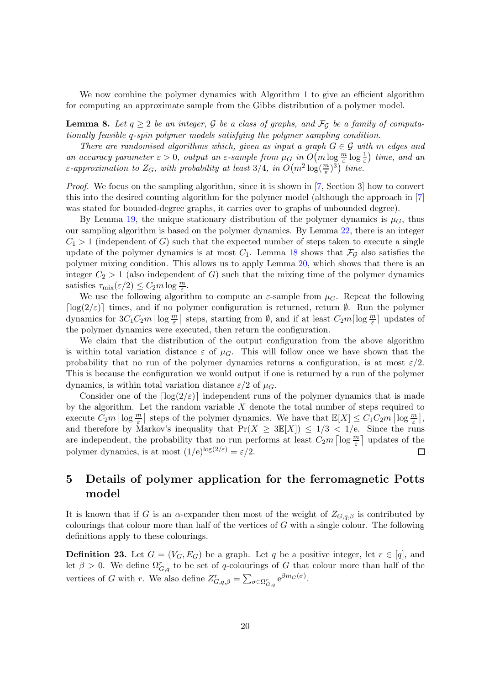We now combine the polymer dynamics with Algorithm [1](#page-17-1) to give an efficient algorithm for computing an approximate sample from the Gibbs distribution of a polymer model.

**Lemma 8.** Let  $q \ge 2$  be an integer, G be a class of graphs, and  $\mathcal{F}_q$  be a family of computationally feasible q-spin polymer models satisfying the polymer sampling condition.

There are randomised algorithms which, given as input a graph  $G \in \mathcal{G}$  with m edges and an accuracy parameter  $\varepsilon > 0$ , output an  $\varepsilon$ -sample from  $\mu_G$  in  $O(m \log \frac{m}{\varepsilon} \log \frac{1}{\varepsilon})$  time, and an ε-approximation to  $Z_G$ , with probability at least 3/4, in  $O(m^2 \log(\frac{m}{\varepsilon})^3)$  time.

Proof. We focus on the sampling algorithm, since it is shown in [\[7,](#page-21-1) Section 3] how to convert this into the desired counting algorithm for the polymer model (although the approach in [\[7\]](#page-21-1) was stated for bounded-degree graphs, it carries over to graphs of unbounded degree).

By Lemma [19,](#page-16-1) the unique stationary distribution of the polymer dynamics is  $\mu_G$ , thus our sampling algorithm is based on the polymer dynamics. By Lemma [22,](#page-18-0) there is an integer  $C_1 > 1$  (independent of G) such that the expected number of steps taken to execute a single update of the polymer dynamics is at most  $C_1$ . Lemma [18](#page-14-0) shows that  $\mathcal{F}_{\mathcal{G}}$  also satisfies the polymer mixing condition. This allows us to apply Lemma [20,](#page-16-2) which shows that there is an integer  $C_2 > 1$  (also independent of G) such that the mixing time of the polymer dynamics satisfies  $\tau_{\text{mix}}(\varepsilon/2) \leq C_2 m \log \frac{m}{\varepsilon}$ .

We use the following algorithm to compute an  $\varepsilon$ -sample from  $\mu_G$ . Repeat the following  $\lceil \log(2/\varepsilon) \rceil$  times, and if no polymer configuration is returned, return Ø. Run the polymer dynamics for  $3C_1C_2m$  [log  $\frac{m}{\varepsilon}$ ] steps, starting from  $\emptyset$ , and if at least  $C_2m\lceil \log \frac{m}{\varepsilon} \rceil$  updates of the polymer dynamics were executed, then return the configuration.

We claim that the distribution of the output configuration from the above algorithm is within total variation distance  $\varepsilon$  of  $\mu$ . This will follow once we have shown that the probability that no run of the polymer dynamics returns a configuration, is at most  $\varepsilon/2$ . This is because the configuration we would output if one is returned by a run of the polymer dynamics, is within total variation distance  $\varepsilon/2$  of  $\mu_G$ .

Consider one of the  $\lceil \log(2/\varepsilon) \rceil$  independent runs of the polymer dynamics that is made by the algorithm. Let the random variable  $X$  denote the total number of steps required to execute  $C_2m \left[ \log \frac{m}{\varepsilon} \right]$  steps of the polymer dynamics. We have that  $\mathbb{E}[X] \leq C_1 C_2 m \left[ \log \frac{m}{\varepsilon} \right]$ , and therefore by Markov's inequality that  $Pr(X \ge 3E[X]) \le 1/3 < 1/e$ . Since the runs are independent, the probability that no run performs at least  $C_2m \lceil \log \frac{m}{\varepsilon} \rceil$  updates of the polymer dynamics, is at most  $(1/e)^{\log(2/\varepsilon)} = \varepsilon/2$ .  $\Box$ 

# <span id="page-19-0"></span>5 Details of polymer application for the ferromagnetic Potts model

It is known that if G is an  $\alpha$ -expander then most of the weight of  $Z_{G,q,\beta}$  is contributed by colourings that colour more than half of the vertices of  $G$  with a single colour. The following definitions apply to these colourings.

**Definition 23.** Let  $G = (V_G, E_G)$  be a graph. Let q be a positive integer, let  $r \in [q]$ , and let  $\beta > 0$ . We define  $\Omega_{G,q}^r$  to be set of q-colourings of G that colour more than half of the vertices of G with r. We also define  $Z_{G,q,\beta}^r = \sum_{\sigma \in \Omega_{G,q}^r} e^{\beta m_G(\sigma)}$ .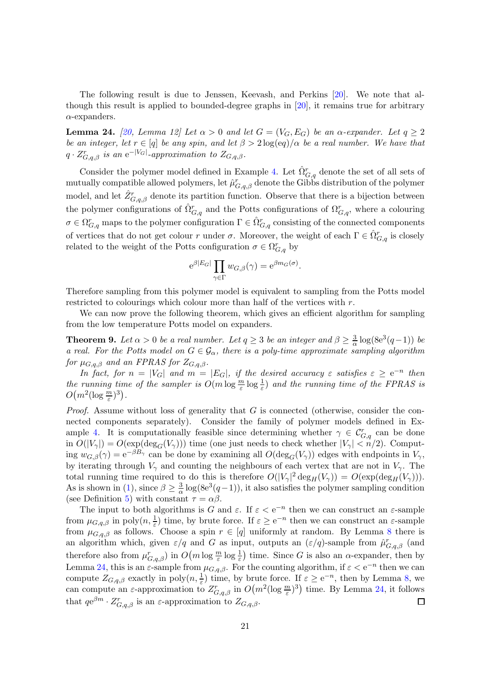The following result is due to Jenssen, Keevash, and Perkins [\[20\]](#page-22-1). We note that although this result is applied to bounded-degree graphs in [\[20\]](#page-22-1), it remains true for arbitrary  $\alpha$ -expanders.

<span id="page-20-0"></span>**Lemma 24.** [\[20,](#page-22-1) Lemma 12] Let  $\alpha > 0$  and let  $G = (V_G, E_G)$  be an  $\alpha$ -expander. Let  $q \ge 2$ be an integer, let  $r \in [q]$  be any spin, and let  $\beta > 2 \log(\text{e}q)/\alpha$  be a real number. We have that  $q \cdot Z_{G,q,\beta}^r$  is an e<sup>-|VG|</sup>-approximation to  $Z_{G,q,\beta}$ .

Consider the polymer model defined in Example [4.](#page-3-0) Let  $\hat{\Omega}_{G,q}^{r}$  denote the set of all sets of mutually compatible allowed polymers, let  $\hat{\mu}^r_{G,q,\beta}$  denote the Gibbs distribution of the polymer model, and let  $\hat{Z}_{G,q,\beta}^{r}$  denote its partition function. Observe that there is a bijection between the polymer configurations of  $\hat{\Omega}_{G,q}^{r}$  and the Potts configurations of  $\Omega_{G,q}^{r}$ , where a colouring  $\sigma\in\Omega^r_{G,q}$  maps to the polymer configuration  $\Gamma\in \hat{\Omega}^r_{G,q}$  consisting of the connected components of vertices that do not get colour r under  $\sigma$ . Moreover, the weight of each  $\Gamma \in \hat{\Omega}_{G,q}^r$  is closely related to the weight of the Potts configuration  $\sigma \in \Omega^r_{G,q}$  by

$$
e^{\beta|E_G|} \prod_{\gamma \in \Gamma} w_{G,\beta}(\gamma) = e^{\beta m_G(\sigma)}.
$$

Therefore sampling from this polymer model is equivalent to sampling from the Potts model restricted to colourings which colour more than half of the vertices with r.

We can now prove the following theorem, which gives an efficient algorithm for sampling from the low temperature Potts model on expanders.

**Theorem 9.** Let  $\alpha > 0$  be a real number. Let  $q \geq 3$  be an integer and  $\beta \geq \frac{3}{\alpha}$  $\frac{3}{\alpha} \log(8e^3(q-1))$  be a real. For the Potts model on  $G \in \mathcal{G}_{\alpha}$ , there is a poly-time approximate sampling algorithm for  $\mu_{G,q,\beta}$  and an FPRAS for  $Z_{G,q,\beta}$ .

In fact, for  $n = |V_G|$  and  $m = |E_G|$ , if the desired accuracy  $\varepsilon$  satisfies  $\varepsilon \ge e^{-n}$  then the running time of the sampler is  $O(m \log \frac{m}{\varepsilon} \log \frac{1}{\varepsilon})$  and the running time of the FPRAS is  $O(m^2(\log \frac{m}{\varepsilon})^3)$ .

*Proof.* Assume without loss of generality that  $G$  is connected (otherwise, consider the connected components separately). Consider the family of polymer models defined in Ex-ample [4.](#page-3-0) It is computationally feasible since determining whether  $\gamma \in C_{G,q}^r$  can be done in  $O(|V_{\gamma}|) = O(\exp(\deg_G(V_{\gamma})))$  time (one just needs to check whether  $|V_{\gamma}| < n/2$ ). Computing  $w_{G,\beta}(\gamma) = e^{-\beta B_{\gamma}}$  can be done by examining all  $O(\deg_G(V_{\gamma}))$  edges with endpoints in  $V_{\gamma}$ , by iterating through  $V_{\gamma}$  and counting the neighbours of each vertex that are not in  $V_{\gamma}$ . The total running time required to do this is therefore  $O(|V_{\gamma}|^2 \deg_H(V_{\gamma})) = O(\exp(\deg_H(V_{\gamma})))$ . As is shown in [\(1\)](#page-5-2), since  $\beta \geq \frac{3}{\alpha} \log(8e^3(q-1))$ , it also satisfies the polymer sampling condition (see Definition [5\)](#page-3-3) with constant  $\tau = \alpha \beta$ .

The input to both algorithms is G and  $\varepsilon$ . If  $\varepsilon < e^{-n}$  then we can construct an  $\varepsilon$ -sample from  $\mu_{G,q,\beta}$  in poly $(n, \frac{1}{\varepsilon})$  time, by brute force. If  $\varepsilon \ge e^{-n}$  then we can construct an  $\varepsilon$ -sample from  $\mu_{G,q,\beta}$  as follows. Choose a spin  $r \in [q]$  uniformly at random. By Lemma [8](#page-5-0) there is an algorithm which, given  $\varepsilon/q$  and G as input, outputs an  $(\varepsilon/q)$ -sample from  $\hat{\mu}^r_{G,q,\beta}$  (and therefore also from  $\mu_{G,q,\beta}^r$  in  $O(m \log \frac{m}{\varepsilon} \log \frac{1}{\varepsilon})$  time. Since G is also an  $\alpha$ -expander, then by Lemma [24,](#page-20-0) this is an  $\varepsilon$ -sample from  $\mu_{G,q,\beta}$ . For the counting algorithm, if  $\varepsilon < e^{-n}$  then we can compute  $Z_{G,q,\beta}$  exactly in poly $(n, \frac{1}{\varepsilon})$  time, by brute force. If  $\varepsilon \ge e^{-n}$ , then by Lemma [8,](#page-5-0) we can compute an  $\varepsilon$ -approximation to  $Z^r_{G,q,\beta}$  in  $O(m^2(\log \frac{m}{\varepsilon})^3)$  time. By Lemma [24,](#page-20-0) it follows that  $qe^{\beta m} \cdot Z_{G,q,\beta}^r$  is an  $\varepsilon$ -approximation to  $Z_{G,q,\beta}$ .  $\Box$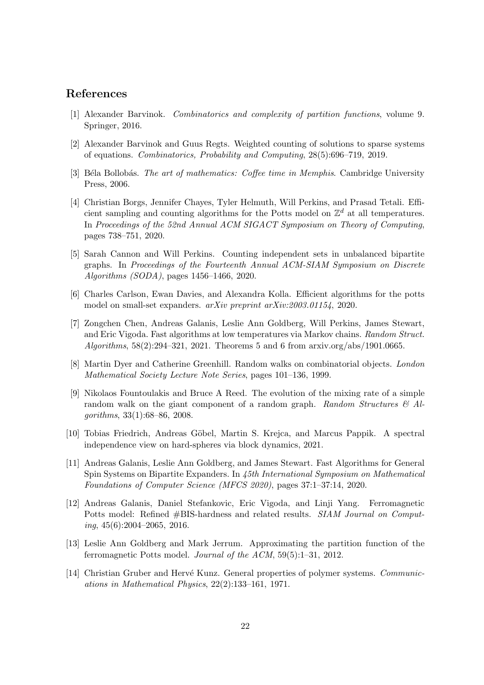## <span id="page-21-9"></span>References

- <span id="page-21-4"></span>[1] Alexander Barvinok. Combinatorics and complexity of partition functions, volume 9. Springer, 2016.
- <span id="page-21-12"></span>[2] Alexander Barvinok and Guus Regts. Weighted counting of solutions to sparse systems of equations. Combinatorics, Probability and Computing, 28(5):696–719, 2019.
- <span id="page-21-6"></span>[3] Béla Bollobás. The art of mathematics: Coffee time in Memphis. Cambridge University Press, 2006.
- [4] Christian Borgs, Jennifer Chayes, Tyler Helmuth, Will Perkins, and Prasad Tetali. Efficient sampling and counting algorithms for the Potts model on  $\mathbb{Z}^d$  at all temperatures. In Proceedings of the 52nd Annual ACM SIGACT Symposium on Theory of Computing, pages 738–751, 2020.
- <span id="page-21-2"></span>[5] Sarah Cannon and Will Perkins. Counting independent sets in unbalanced bipartite graphs. In Proceedings of the Fourteenth Annual ACM-SIAM Symposium on Discrete Algorithms (SODA), pages 1456–1466, 2020.
- <span id="page-21-3"></span><span id="page-21-1"></span>[6] Charles Carlson, Ewan Davies, and Alexandra Kolla. Efficient algorithms for the potts model on small-set expanders. arXiv preprint arXiv:2003.01154, 2020.
- [7] Zongchen Chen, Andreas Galanis, Leslie Ann Goldberg, Will Perkins, James Stewart, and Eric Vigoda. Fast algorithms at low temperatures via Markov chains. Random Struct. Algorithms,  $58(2):294-321$ ,  $2021$ . Theorems 5 and 6 from arxiv.org/abs/1901.0665.
- <span id="page-21-13"></span>[8] Martin Dyer and Catherine Greenhill. Random walks on combinatorial objects. London Mathematical Society Lecture Note Series, pages 101–136, 1999.
- <span id="page-21-11"></span>[9] Nikolaos Fountoulakis and Bruce A Reed. The evolution of the mixing rate of a simple random walk on the giant component of a random graph. Random Structures  $\mathcal{B}$  Algorithms, 33(1):68–86, 2008.
- <span id="page-21-10"></span><span id="page-21-5"></span>[10] Tobias Friedrich, Andreas Göbel, Martin S. Krejca, and Marcus Pappik. A spectral independence view on hard-spheres via block dynamics, 2021.
- [11] Andreas Galanis, Leslie Ann Goldberg, and James Stewart. Fast Algorithms for General Spin Systems on Bipartite Expanders. In 45th International Symposium on Mathematical Foundations of Computer Science (MFCS 2020), pages 37:1–37:14, 2020.
- <span id="page-21-8"></span>[12] Andreas Galanis, Daniel Stefankovic, Eric Vigoda, and Linji Yang. Ferromagnetic Potts model: Refined #BIS-hardness and related results. SIAM Journal on Comput $ing, 45(6):2004-2065, 2016.$
- <span id="page-21-7"></span>[13] Leslie Ann Goldberg and Mark Jerrum. Approximating the partition function of the ferromagnetic Potts model. Journal of the ACM, 59(5):1–31, 2012.
- <span id="page-21-0"></span>[14] Christian Gruber and Hervé Kunz. General properties of polymer systems. Communications in Mathematical Physics, 22(2):133–161, 1971.